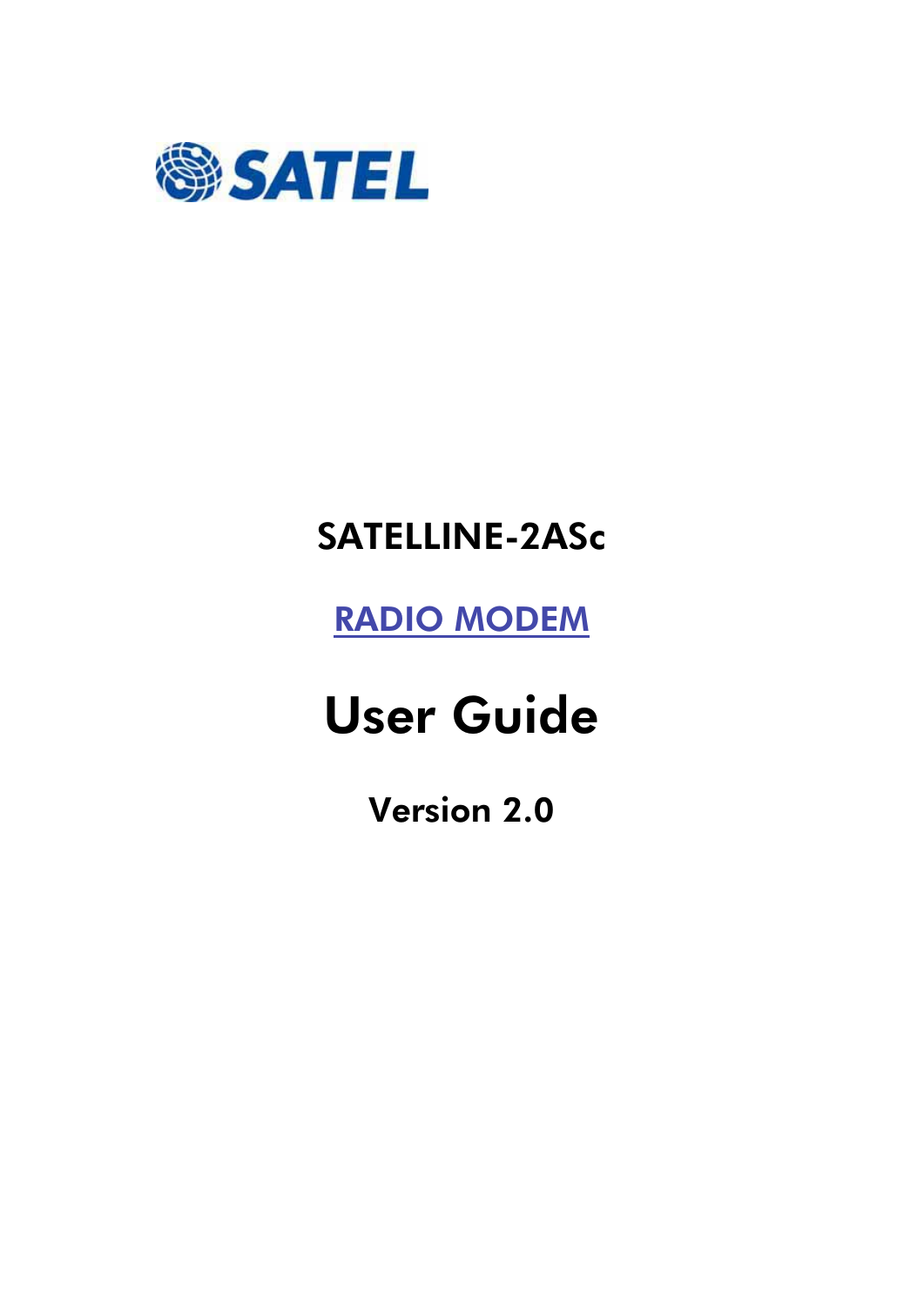

# SATELLINE-2ASc

# RADIO MODEM

# User Guide

Version 2.0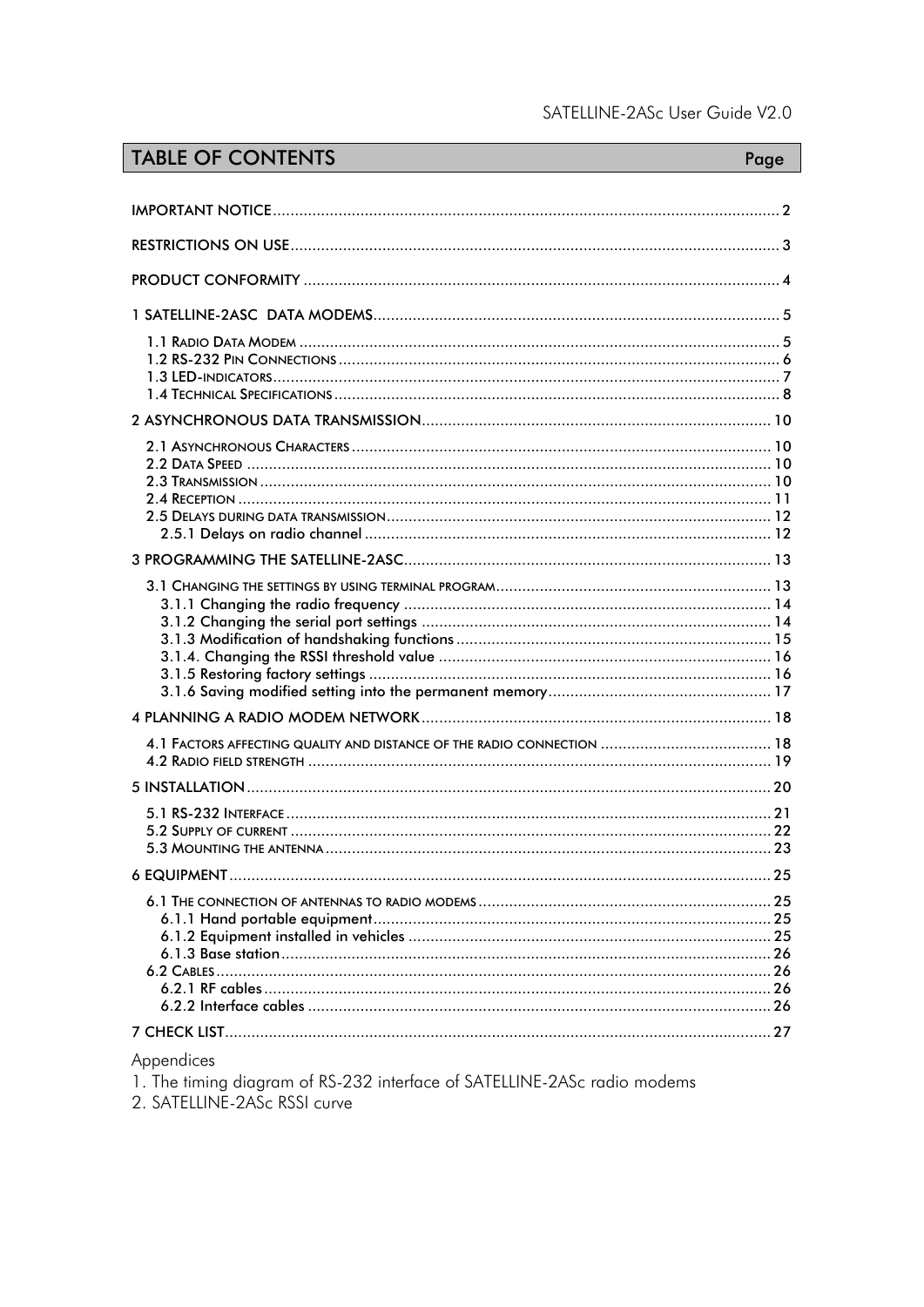# TABLE OF CONTENTS

# Page

| 4.1 FACTORS AFFECTING QUALITY AND DISTANCE OF THE RADIO CONNECTION  18 |  |
|------------------------------------------------------------------------|--|
|                                                                        |  |
|                                                                        |  |
|                                                                        |  |
|                                                                        |  |
|                                                                        |  |
|                                                                        |  |

Appendices

<sup>1.</sup> The timing diagram of RS-232 interface of SATELLINE-2ASc radio modems<br>2. SATELLINE-2ASc RSSI curve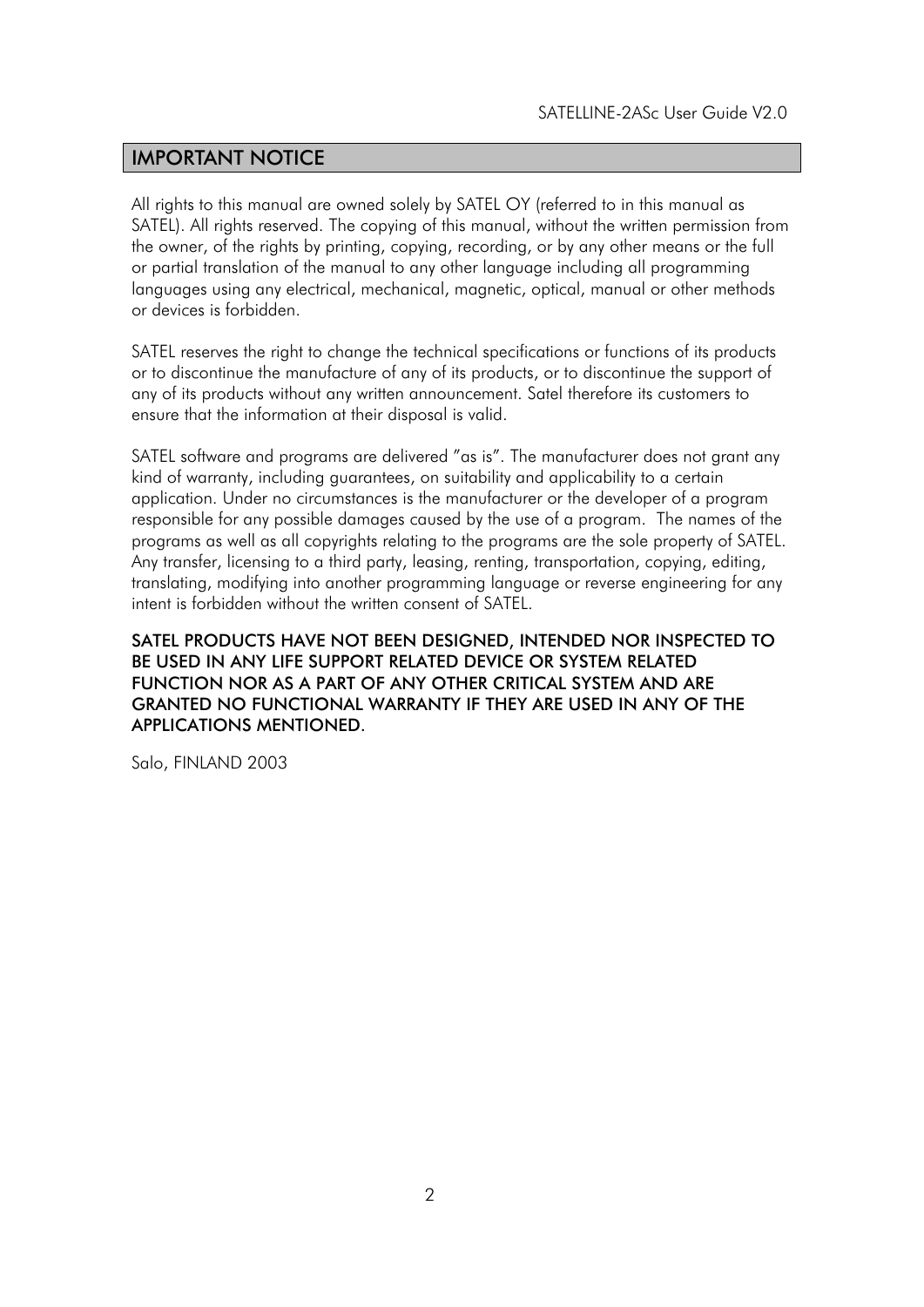# IMPORTANT NOTICE

All rights to this manual are owned solely by SATEL OY (referred to in this manual as SATEL). All rights reserved. The copying of this manual, without the written permission from the owner, of the rights by printing, copying, recording, or by any other means or the full or partial translation of the manual to any other language including all programming languages using any electrical, mechanical, magnetic, optical, manual or other methods or devices is forbidden.

SATEL reserves the right to change the technical specifications or functions of its products or to discontinue the manufacture of any of its products, or to discontinue the support of any of its products without any written announcement. Satel therefore its customers to ensure that the information at their disposal is valid.

SATEL software and programs are delivered "as is". The manufacturer does not grant any kind of warranty, including guarantees, on suitability and applicability to a certain application. Under no circumstances is the manufacturer or the developer of a program responsible for any possible damages caused by the use of a program. The names of the programs as well as all copyrights relating to the programs are the sole property of SATEL. Any transfer, licensing to a third party, leasing, renting, transportation, copying, editing, translating, modifying into another programming language or reverse engineering for any intent is forbidden without the written consent of SATEL.

SATEL PRODUCTS HAVE NOT BEEN DESIGNED, INTENDED NOR INSPECTED TO BE USED IN ANY LIFE SUPPORT RELATED DEVICE OR SYSTEM RELATED FUNCTION NOR AS A PART OF ANY OTHER CRITICAL SYSTEM AND ARE GRANTED NO FUNCTIONAL WARRANTY IF THEY ARE USED IN ANY OF THE APPLICATIONS MENTIONED.

Salo, FINLAND 2003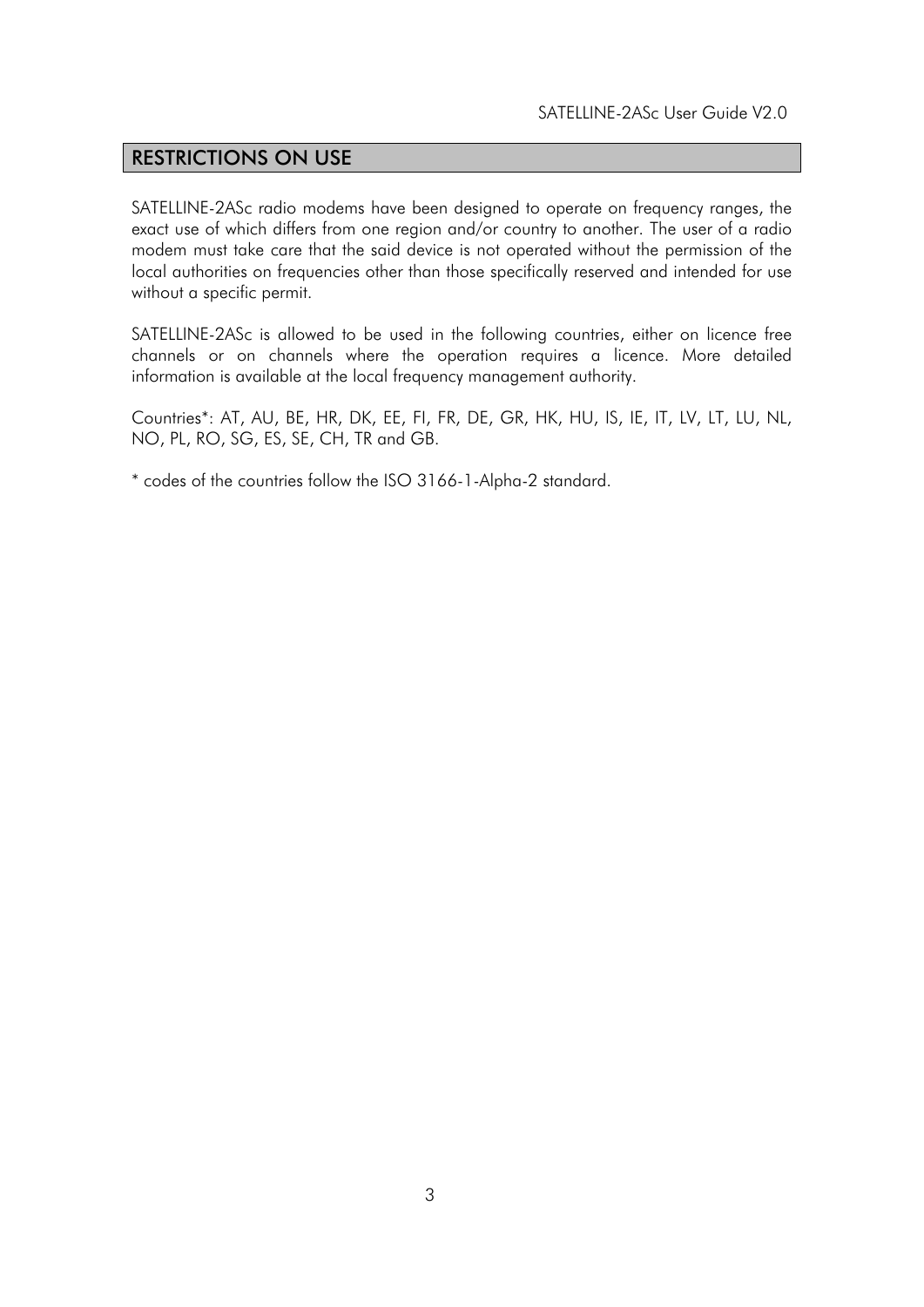# RESTRICTIONS ON USE

SATELLINE-2ASc radio modems have been designed to operate on frequency ranges, the exact use of which differs from one region and/or country to another. The user of a radio modem must take care that the said device is not operated without the permission of the local authorities on frequencies other than those specifically reserved and intended for use without a specific permit.

SATELLINE-2ASc is allowed to be used in the following countries, either on licence free channels or on channels where the operation requires a licence. More detailed information is available at the local frequency management authority.

Countries\*: AT, AU, BE, HR, DK, EE, FI, FR, DE, GR, HK, HU, IS, IE, IT, LV, LT, LU, NL, NO, PL, RO, SG, ES, SE, CH, TR and GB.

\* codes of the countries follow the ISO 3166-1-Alpha-2 standard.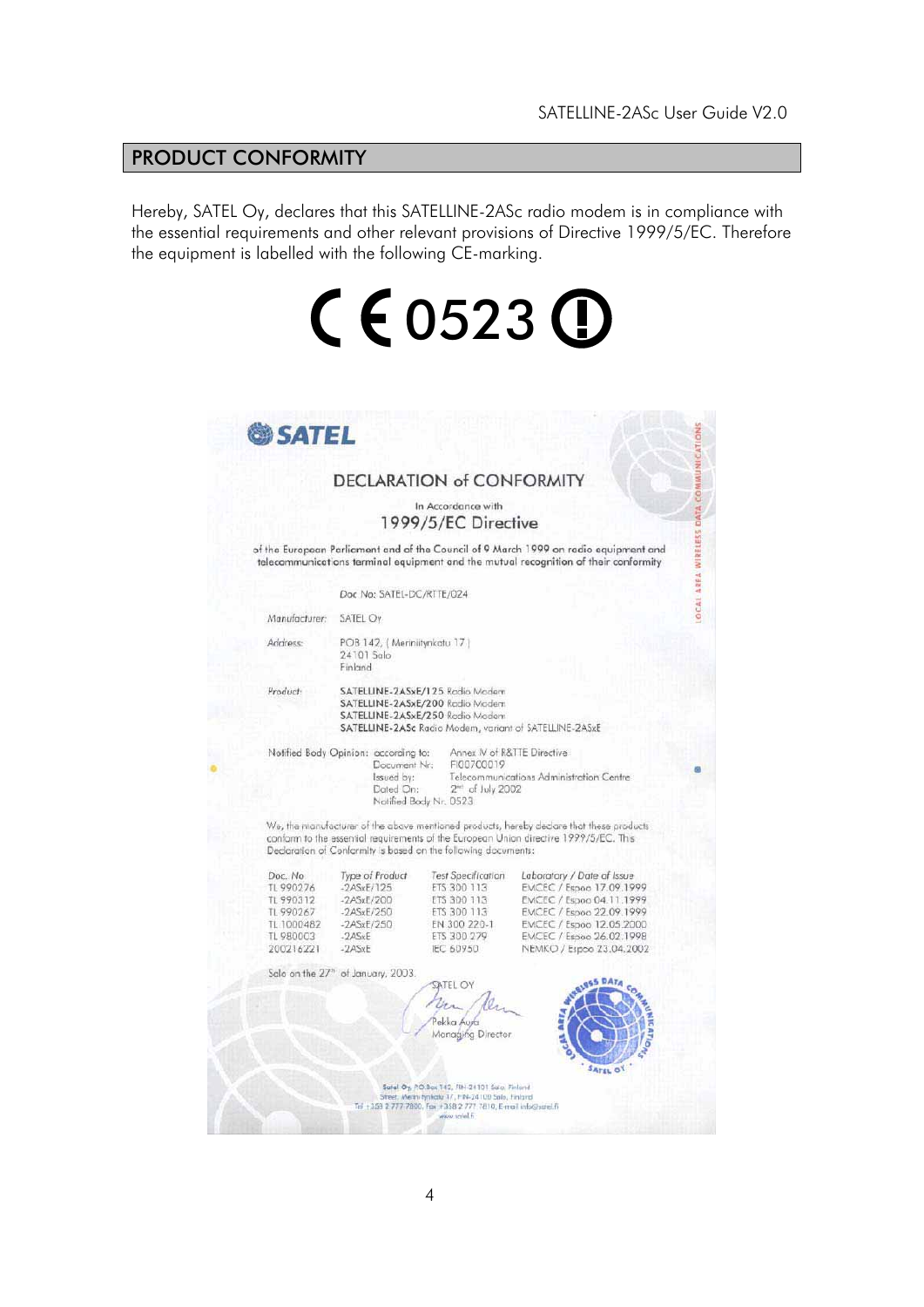#### PRODUCT CONFORMITY

Hereby, SATEL Oy, declares that this SATELLINE-2ASc radio modem is in compliance with the essential requirements and other relevant provisions of Directive 1999/5/EC. Therefore the equipment is labelled with the following CE-marking.

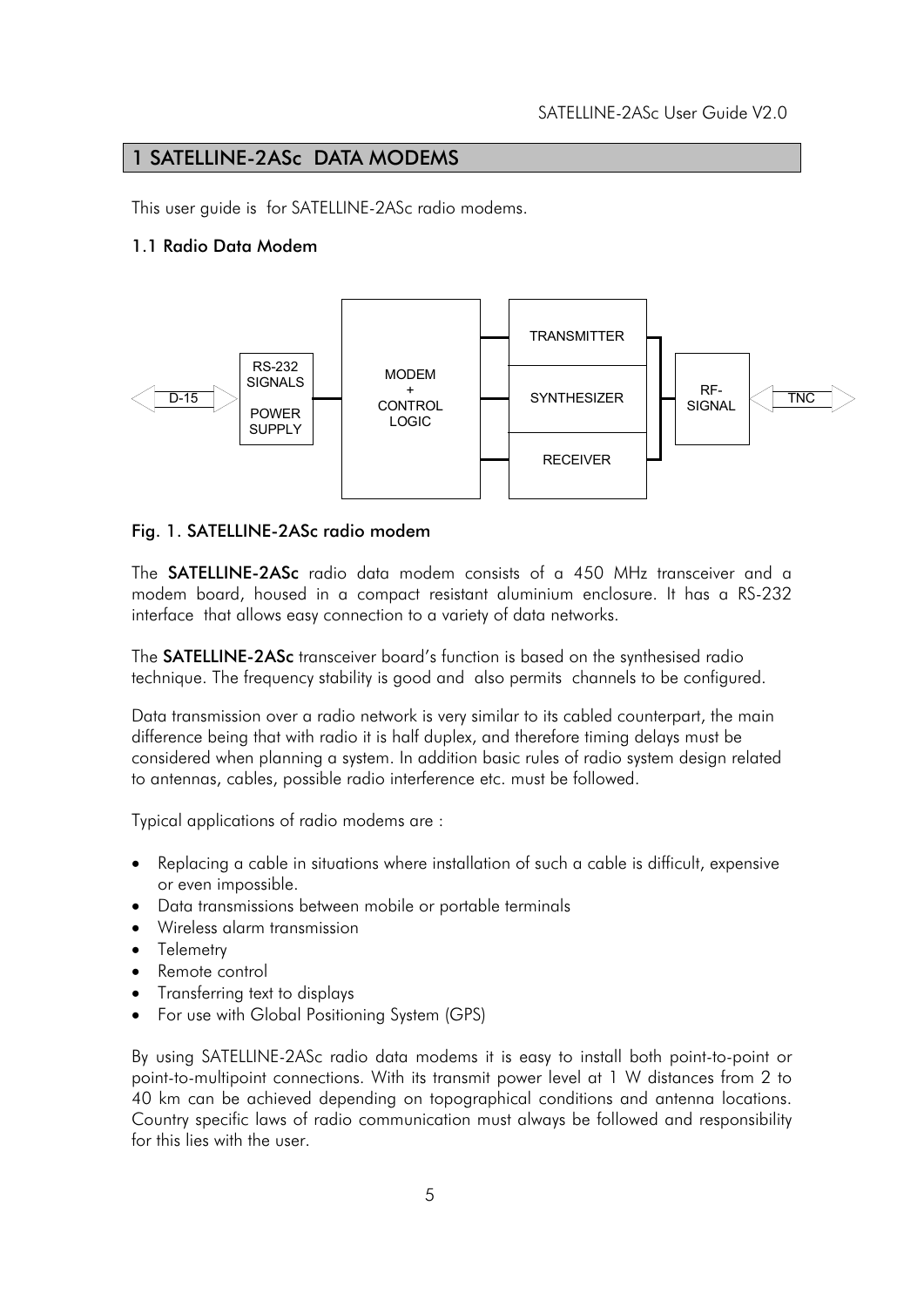# 1 SATELLINE-2ASc DATA MODEMS

This user guide is for SATELLINE-2ASc radio modems.

#### 1.1 Radio Data Modem



#### Fig. 1. SATELLINE-2ASc radio modem

The SATELLINE-2ASc radio data modem consists of a 450 MHz transceiver and a modem board, housed in a compact resistant aluminium enclosure. It has a RS-232 interface that allows easy connection to a variety of data networks.

The SATELLINE-2ASc transceiver board's function is based on the synthesised radio technique. The frequency stability is good and also permits channels to be configured.

Data transmission over a radio network is very similar to its cabled counterpart, the main difference being that with radio it is half duplex, and therefore timing delays must be considered when planning a system. In addition basic rules of radio system design related to antennas, cables, possible radio interference etc. must be followed.

Typical applications of radio modems are :

- Replacing a cable in situations where installation of such a cable is difficult, expensive or even impossible.
- Data transmissions between mobile or portable terminals
- Wireless alarm transmission
- Telemetry
- Remote control
- x Transferring text to displays
- For use with Global Positioning System (GPS)

By using SATELLINE-2ASc radio data modems it is easy to install both point-to-point or point-to-multipoint connections. With its transmit power level at 1 W distances from 2 to 40 km can be achieved depending on topographical conditions and antenna locations. Country specific laws of radio communication must always be followed and responsibility for this lies with the user.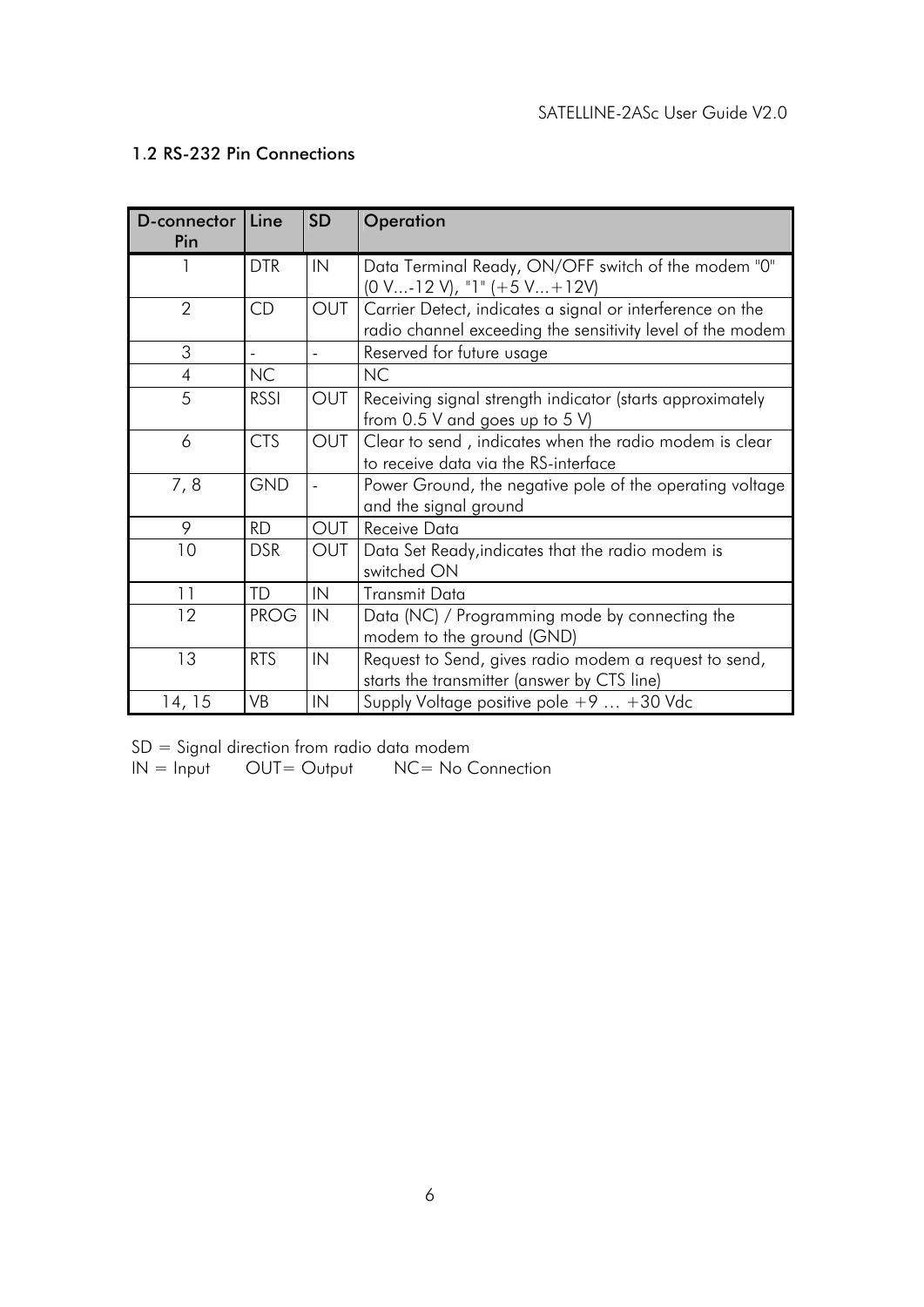## 1.2 RS-232 Pin Connections

| D-connector<br>Pin | Line        | <b>SD</b>                | Operation                                                                                                               |
|--------------------|-------------|--------------------------|-------------------------------------------------------------------------------------------------------------------------|
|                    | <b>DTR</b>  | IN                       | Data Terminal Ready, ON/OFF switch of the modem "0"<br>$(0 V12 V)$ , "1" $(+5 V+12 V)$                                  |
| $\overline{2}$     | CD          | OUT                      | Carrier Detect, indicates a signal or interference on the<br>radio channel exceeding the sensitivity level of the modem |
| 3                  |             | $\overline{\phantom{a}}$ | Reserved for future usage                                                                                               |
| $\overline{4}$     | NC          |                          | <b>NC</b>                                                                                                               |
| 5                  | <b>RSSI</b> | <b>OUT</b>               | Receiving signal strength indicator (starts approximately<br>from $0.5$ V and goes up to $5$ V)                         |
| 6                  | <b>CTS</b>  | <b>OUT</b>               | Clear to send, indicates when the radio modem is clear<br>to receive data via the RS-interface                          |
| 7,8                | <b>GND</b>  |                          | Power Ground, the negative pole of the operating voltage<br>and the signal ground                                       |
| 9                  | RD.         | OUT                      | Receive Data                                                                                                            |
| 10                 | <b>DSR</b>  | OUT                      | Data Set Ready, indicates that the radio modem is<br>switched ON                                                        |
| 11                 | <b>TD</b>   | IN                       | Transmit Data                                                                                                           |
| 12                 | <b>PROG</b> | IN                       | Data (NC) / Programming mode by connecting the<br>modem to the ground (GND)                                             |
| 13                 | <b>RTS</b>  | IN                       | Request to Send, gives radio modem a request to send,<br>starts the transmitter (answer by CTS line)                    |
| 14, 15             | VB          | IN                       | Supply Voltage positive pole $+9+30$ Vdc                                                                                |

SD = Signal direction from radio data modem

 $IN = Input$   $OUT = Output$   $NC = No$  Connection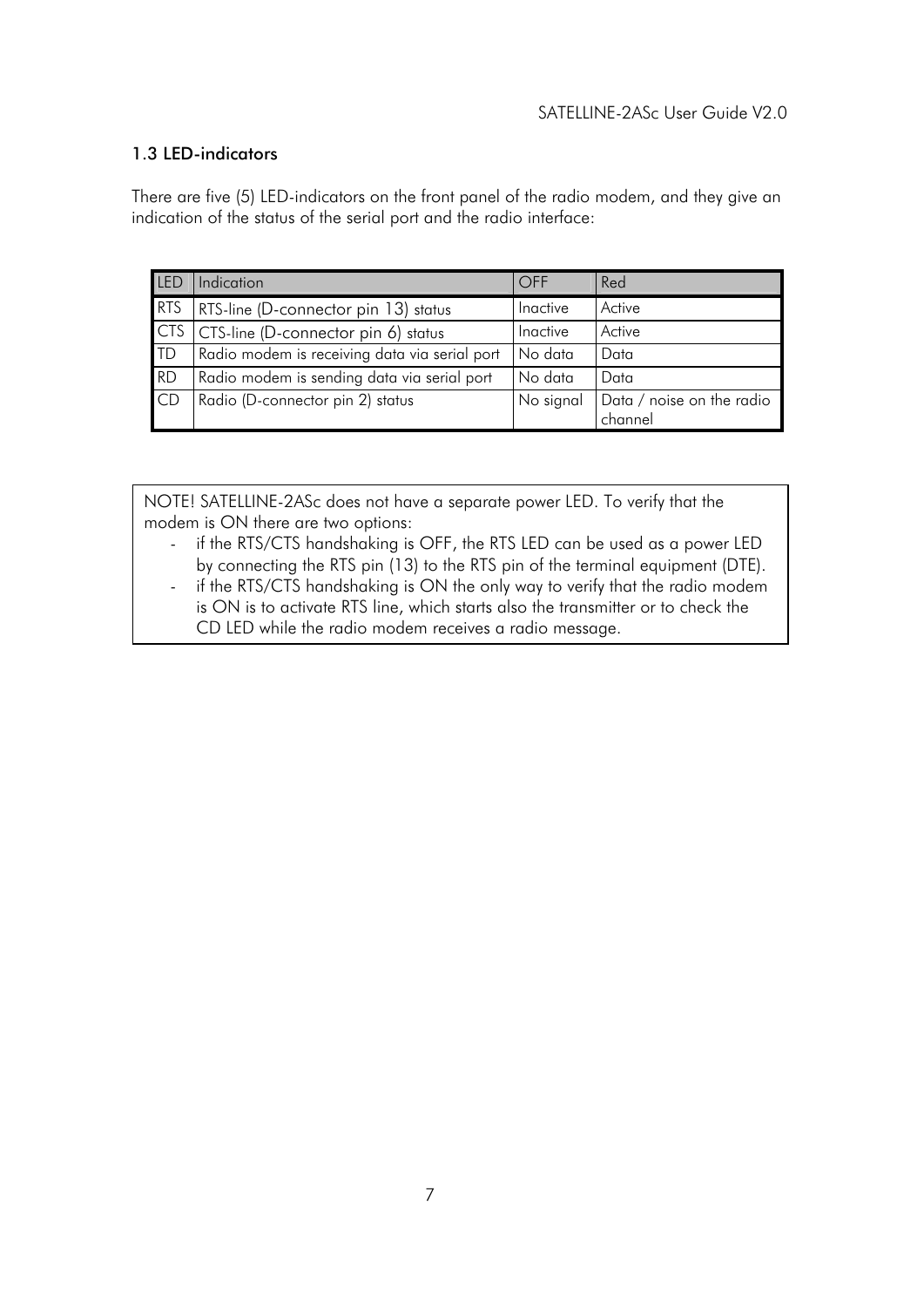# 1.3 LED-indicators

There are five (5) LED-indicators on the front panel of the radio modem, and they give an indication of the status of the serial port and the radio interface:

| LED        | Indication                                    | OFF       | Red                                  |
|------------|-----------------------------------------------|-----------|--------------------------------------|
| RTS        | RTS-line (D-connector pin 13) status          | Inactive  | Active                               |
| <b>CTS</b> | CTS-line (D-connector pin 6) status           | Inactive  | Active                               |
| l TD       | Radio modem is receiving data via serial port | No data   | Data                                 |
| <b>RD</b>  | Radio modem is sending data via serial port   | No data   | Data                                 |
| <b>CD</b>  | Radio (D-connector pin 2) status              | No signal | Data / noise on the radio<br>channel |

NOTE! SATELLINE-2ASc does not have a separate power LED. To verify that the modem is ON there are two options:

- if the RTS/CTS handshaking is OFF, the RTS LED can be used as a power LED by connecting the RTS pin (13) to the RTS pin of the terminal equipment (DTE).
- if the RTS/CTS handshaking is ON the only way to verify that the radio modem is ON is to activate RTS line, which starts also the transmitter or to check the CD LED while the radio modem receives a radio message.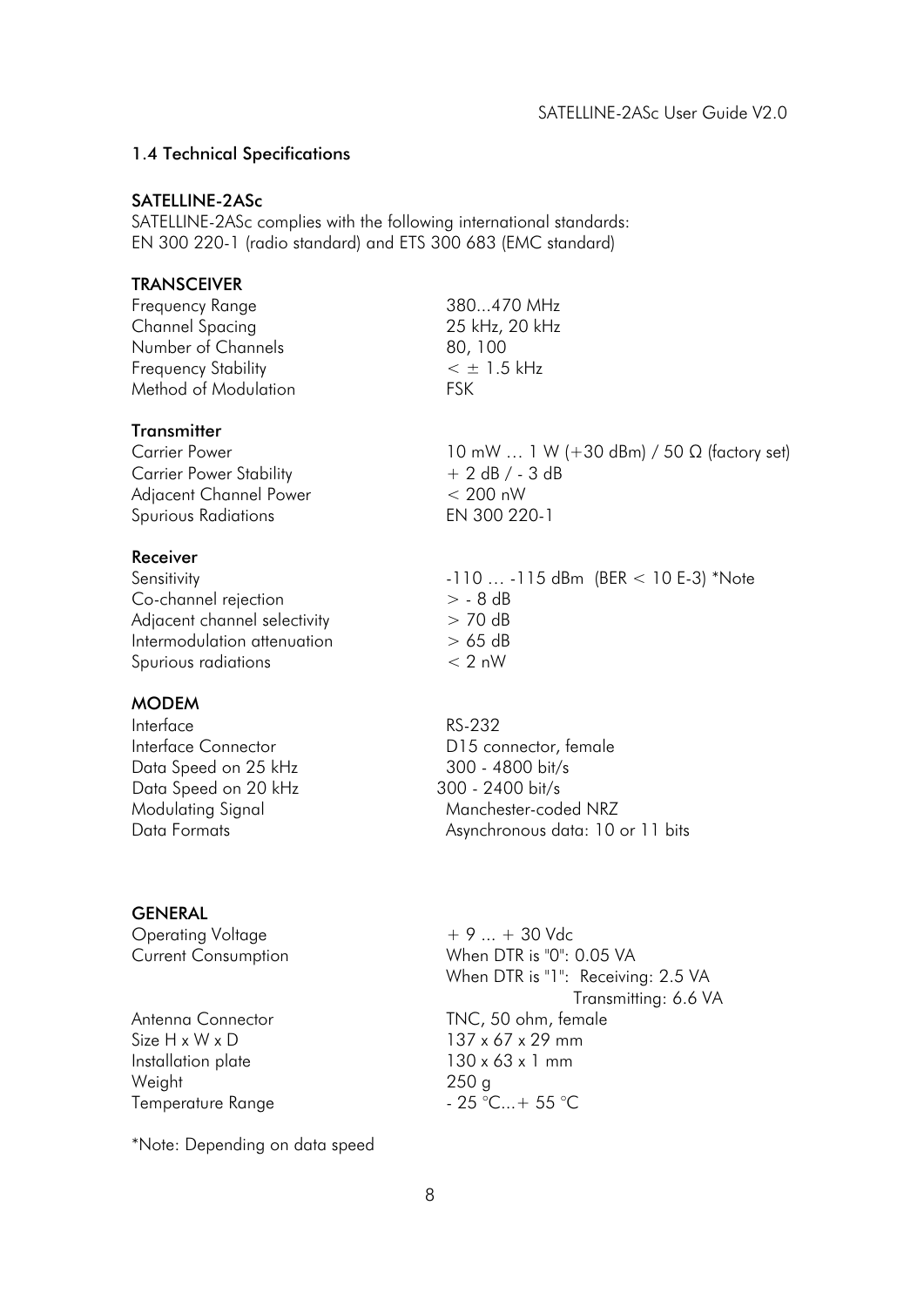#### 1.4 Technical Specifications

#### SATELLINE-2ASc

SATELLINE-2ASc complies with the following international standards: EN 300 220-1 (radio standard) and ETS 300 683 (EMC standard)

# TRANSCEIVER<br>Frequency Road

| Frequency Range<br>Channel Spacing<br>Number of Channels<br><b>Frequency Stability</b><br>Method of Modulation                        | 380470 MHz<br>25 kHz, 20 kHz<br>80, 100<br>$< \pm 1.5$ kHz<br><b>FSK</b>                                                            |
|---------------------------------------------------------------------------------------------------------------------------------------|-------------------------------------------------------------------------------------------------------------------------------------|
| <b>Transmitter</b><br><b>Carrier Power</b><br><b>Carrier Power Stability</b><br>Adjacent Channel Power<br>Spurious Radiations         | 10 mW  1 W (+30 dBm) / 50 $\Omega$ (factory set)<br>$+ 2 dB / - 3 dB$<br>$< 200$ nW<br>EN 300 220-1                                 |
| Receiver<br>Sensitivity<br>Co-channel rejection<br>Adjacent channel selectivity<br>Intermodulation attenuation<br>Spurious radiations | $-110 -115$ dBm (BER < 10 E-3) *Note<br>$>$ - 8 dB<br>$> 70$ dB<br>> 65 dB<br>$< 2$ nW                                              |
| <b>MODEM</b><br>Interface<br>Interface Connector<br>Data Speed on 25 kHz<br>Data Speed on 20 kHz<br>Modulating Signal<br>Data Formats | RS-232<br>D15 connector, female<br>300 - 4800 bit/s<br>300 - 2400 bit/s<br>Manchester-coded NRZ<br>Asynchronous data: 10 or 11 bits |

#### GENERAL

Installation plate 130 x 63 x 1 mm Weight 250 g Temperature Range  $-25$  °C... + 55 °C

Operating Voltage  $+ 9 ... + 30$  Vdc Current Consumption When DTR is "0": 0.05 VA When DTR is "1": Receiving: 2.5 VA Transmitting: 6.6 VA Antenna Connector TNC, 50 ohm, female Size H x W x D 137 x 67 x 29 mm

\*Note: Depending on data speed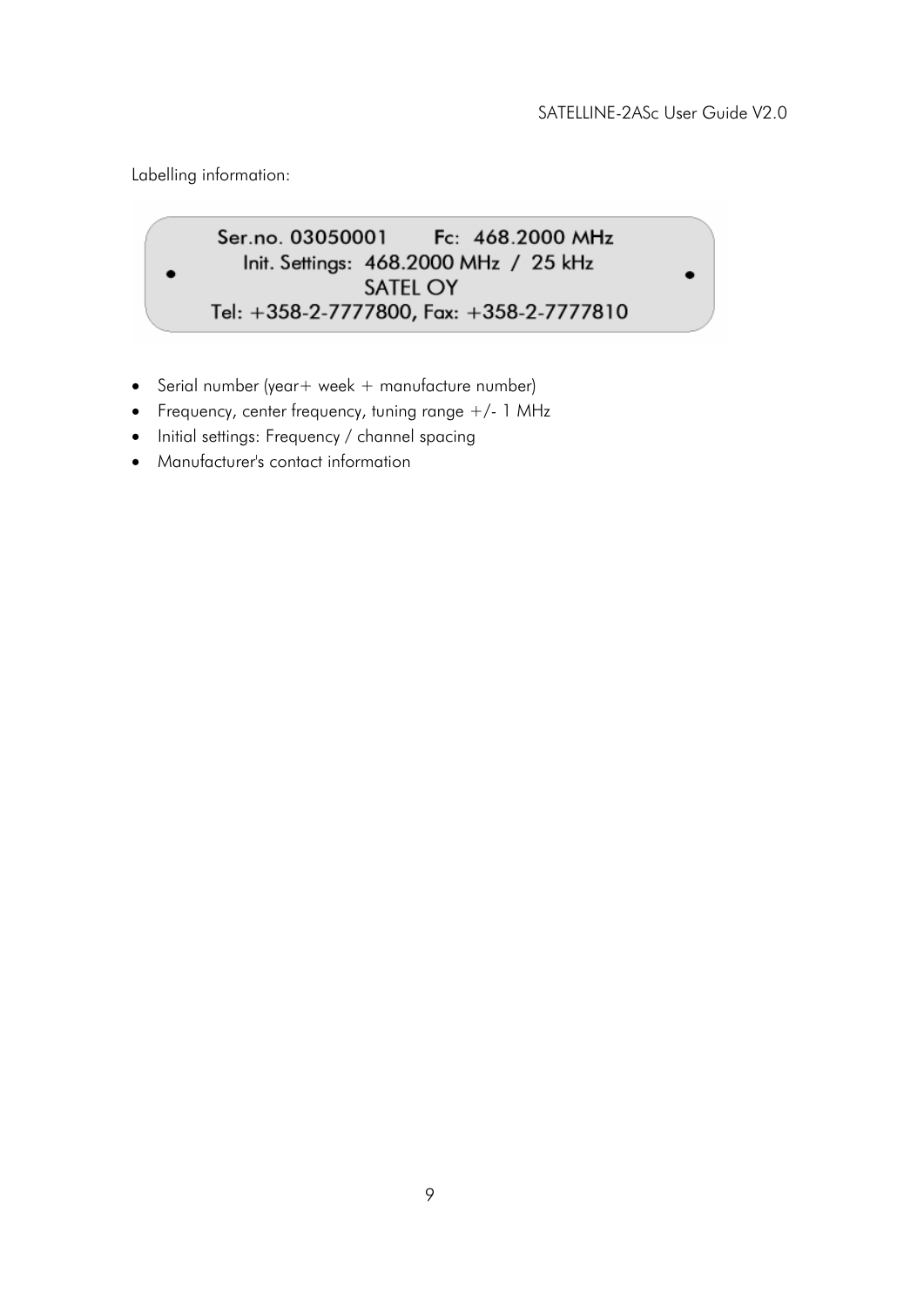Labelling information:

#### Ser.no. 03050001 Fc: 468.2000 MHz Init. Settings: 468.2000 MHz / 25 kHz **SATEL OY** Tel: +358-2-7777800, Fax: +358-2-7777810

- $\bullet$  Serial number (year + week + manufacture number)
- Frequency, center frequency, tuning range  $+/- 1$  MHz
- Initial settings: Frequency / channel spacing
- Manufacturer's contact information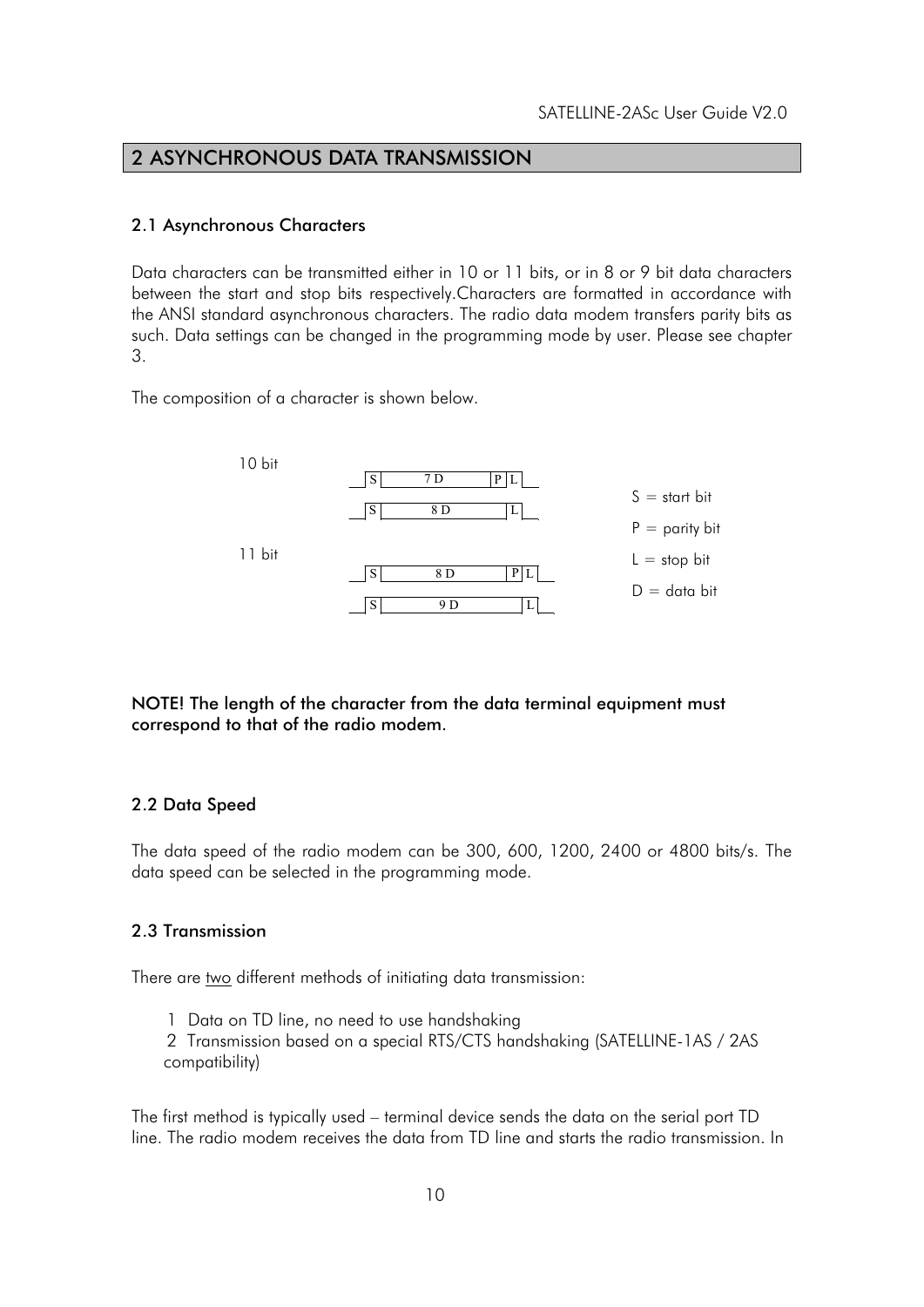#### 2 ASYNCHRONOUS DATA TRANSMISSION

#### 2.1 Asynchronous Characters

Data characters can be transmitted either in 10 or 11 bits, or in 8 or 9 bit data characters between the start and stop bits respectively.Characters are formatted in accordance with the ANSI standard asynchronous characters. The radio data modem transfers parity bits as such. Data settings can be changed in the programming mode by user. Please see chapter 3.

The composition of a character is shown below.



NOTE! The length of the character from the data terminal equipment must correspond to that of the radio modem.

#### 2.2 Data Speed

The data speed of the radio modem can be 300, 600, 1200, 2400 or 4800 bits/s. The data speed can be selected in the programming mode.

#### 2.3 Transmission

There are two different methods of initiating data transmission:

1 Data on TD line, no need to use handshaking

 2 Transmission based on a special RTS/CTS handshaking (SATELLINE-1AS / 2AS compatibility)

The first method is typically used – terminal device sends the data on the serial port TD line. The radio modem receives the data from TD line and starts the radio transmission. In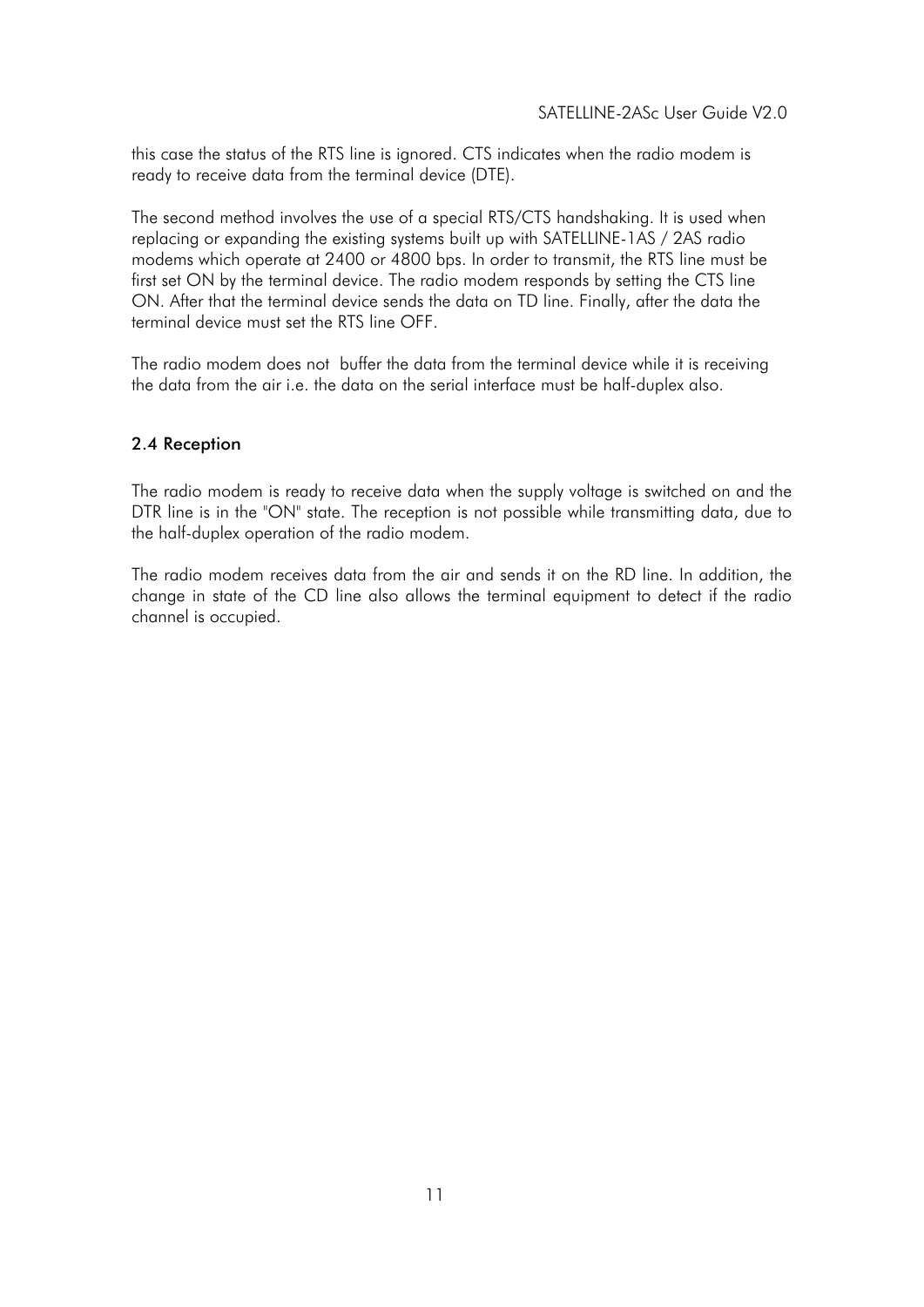this case the status of the RTS line is ignored. CTS indicates when the radio modem is ready to receive data from the terminal device (DTE).

The second method involves the use of a special RTS/CTS handshaking. It is used when replacing or expanding the existing systems built up with SATELLINE-1AS / 2AS radio modems which operate at 2400 or 4800 bps. In order to transmit, the RTS line must be first set ON by the terminal device. The radio modem responds by setting the CTS line ON. After that the terminal device sends the data on TD line. Finally, after the data the terminal device must set the RTS line OFF.

The radio modem does not buffer the data from the terminal device while it is receiving the data from the air i.e. the data on the serial interface must be half-duplex also.

#### 2.4 Reception

The radio modem is ready to receive data when the supply voltage is switched on and the DTR line is in the "ON" state. The reception is not possible while transmitting data, due to the half-duplex operation of the radio modem.

The radio modem receives data from the air and sends it on the RD line. In addition, the change in state of the CD line also allows the terminal equipment to detect if the radio channel is occupied.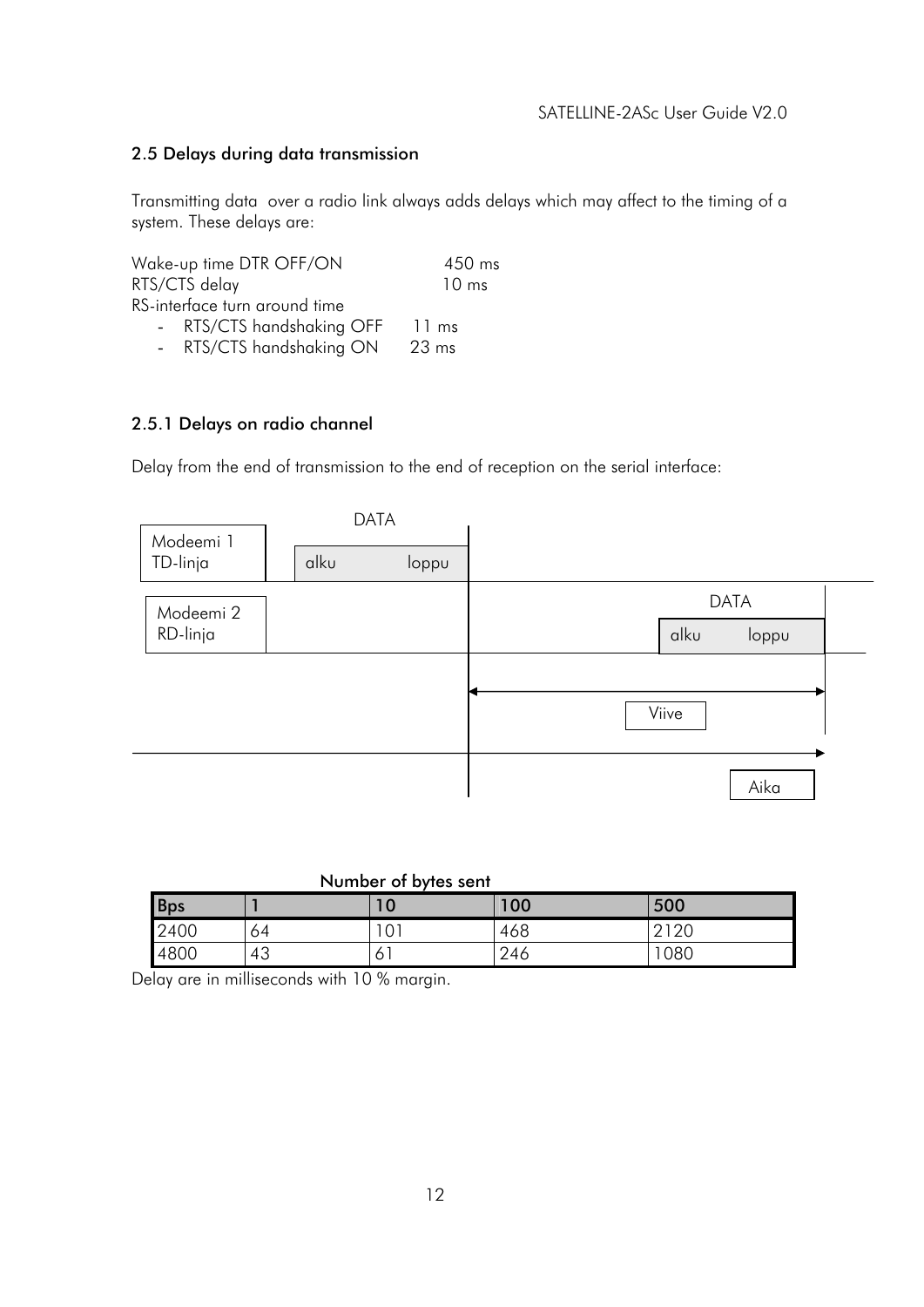#### 2.5 Delays during data transmission

Transmitting data over a radio link always adds delays which may affect to the timing of a system. These delays are:

| Wake-up time DTR OFF/ON       | 450 ms           |
|-------------------------------|------------------|
| RTS/CTS delay                 | 10 <sub>ms</sub> |
| RS-interface turn around time |                  |
| - RTS/CTS handshaking OFF     | $11 \text{ ms}$  |
| - RTS/CTS handshaking ON      | 23 <sub>ms</sub> |

#### 2.5.1 Delays on radio channel

Delay from the end of transmission to the end of reception on the serial interface:



| Number of bytes sent |  |  |  |
|----------------------|--|--|--|
|----------------------|--|--|--|

| <b>Bps</b> |    | $\sqrt{2}$<br>1 U | 100 | 500                          |
|------------|----|-------------------|-----|------------------------------|
| 2400       | 64 | U I               | 468 | $\cap$ 1 $\cap$ $\cap$<br>∠∪ |
| 4800       | 43 | $\circ$ .         | 246 | 080                          |

Delay are in milliseconds with 10 % margin.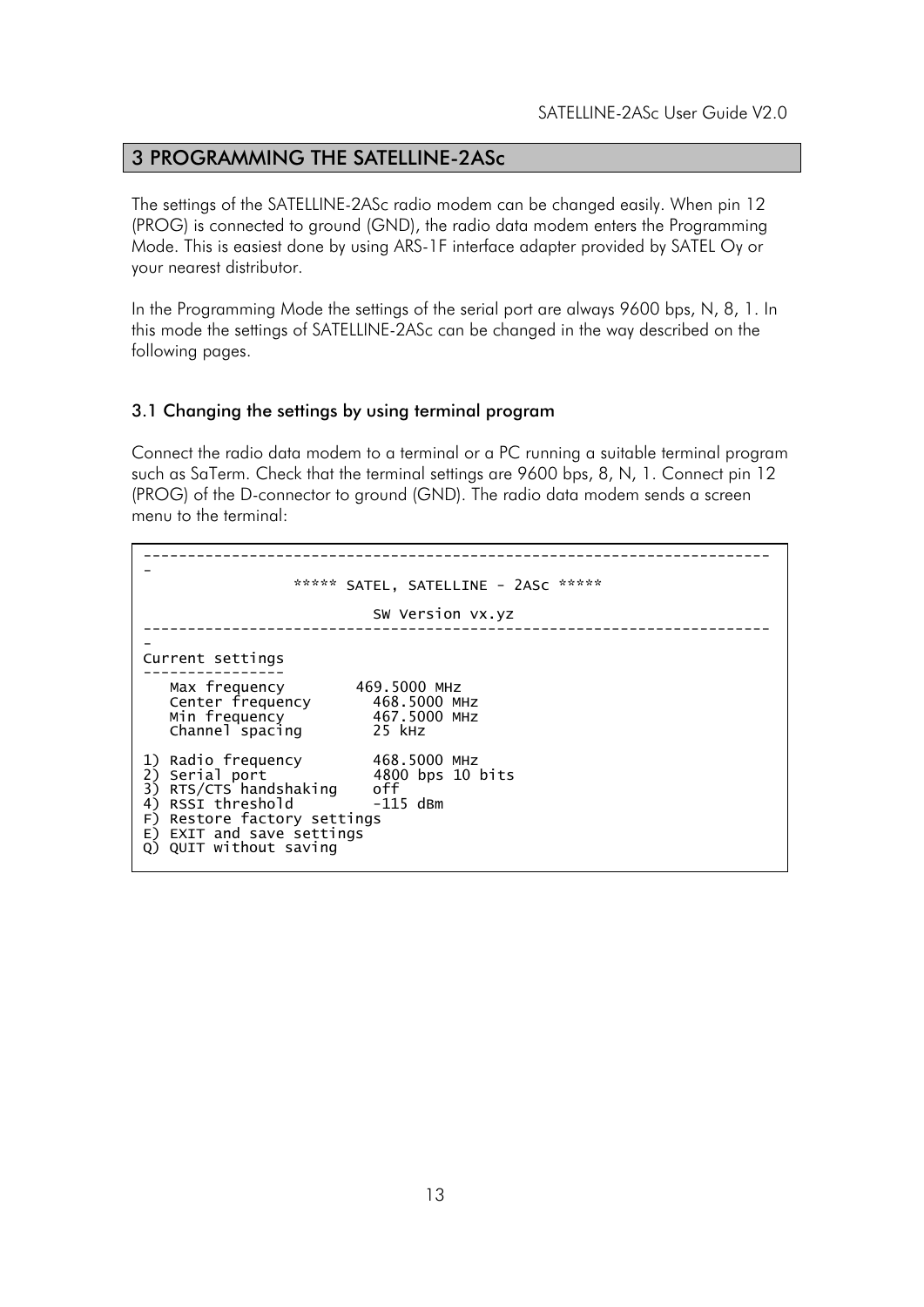# 3 PROGRAMMING THE SATELLINE-2ASc

The settings of the SATELLINE-2ASc radio modem can be changed easily. When pin 12 (PROG) is connected to ground (GND), the radio data modem enters the Programming Mode. This is easiest done by using ARS-1F interface adapter provided by SATEL Oy or your nearest distributor.

In the Programming Mode the settings of the serial port are always 9600 bps, N, 8, 1. In this mode the settings of SATELLINE-2ASc can be changed in the way described on the following pages.

#### 3.1 Changing the settings by using terminal program

Connect the radio data modem to a terminal or a PC running a suitable terminal program such as SaTerm. Check that the terminal settings are 9600 bps, 8, N, 1. Connect pin 12 (PROG) of the D-connector to ground (GND). The radio data modem sends a screen menu to the terminal:

```
-----------------------------------------------------------------------
-
                    ****** SATEL, SATELLINE - 2ASC *****
                                SW Version vx.yz 
                                                       -----------------------------------------------------------------------
-
Current settings 
----------------
   Max frequency 469.5000 MHz<br>Center frequency 468.5000 MHz
   Center frequency 468.5000 MHz<br>Min frequency 467.5000 MHz
   Min frequency 467.50<br>Channel spacing 25 kHz
   Channel spacing
1) Radio frequency 468.5000 MHz 
2) Serial port 4800 bps 10 bits 
3) RTS/CTS handshaking off 
4) RSSI threshold -115 dBm
F) Restore factory settings 
E) EXIT and save settings 
Q) QUIT without saving
```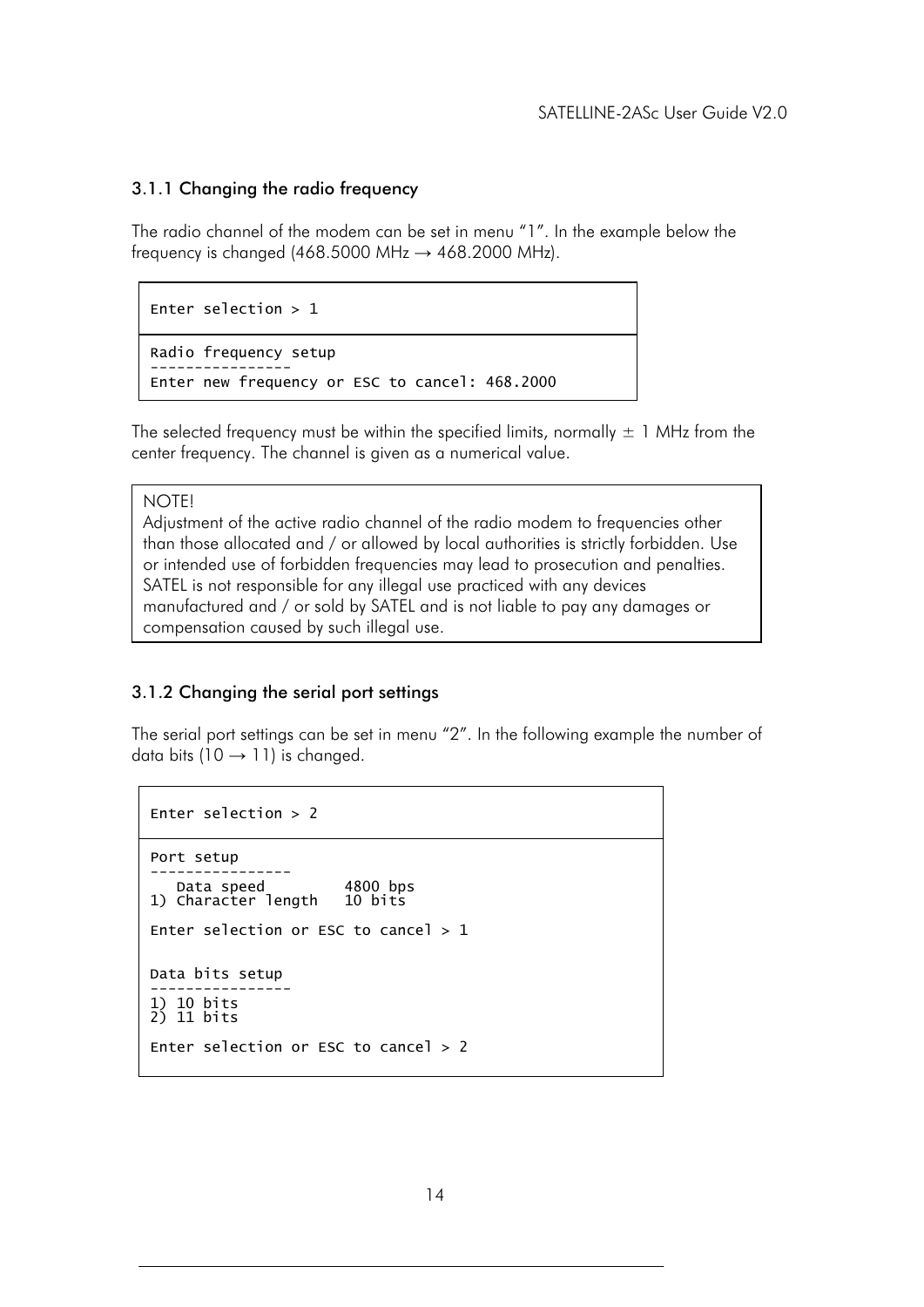#### 3.1.1 Changing the radio frequency

The radio channel of the modem can be set in menu "1". In the example below the frequency is changed (468.5000 MHz  $\rightarrow$  468.2000 MHz).

```
Enter selection > 1 
Radio frequency setup 
----------------
Enter new frequency or ESC to cancel: 468.2000
```
The selected frequency must be within the specified limits, normally  $\pm$  1 MHz from the center frequency. The channel is given as a numerical value.

NOTE!

Adjustment of the active radio channel of the radio modem to frequencies other than those allocated and / or allowed by local authorities is strictly forbidden. Use or intended use of forbidden frequencies may lead to prosecution and penalties. SATEL is not responsible for any illegal use practiced with any devices manufactured and / or sold by SATEL and is not liable to pay any damages or compensation caused by such illegal use.

#### 3.1.2 Changing the serial port settings

The serial port settings can be set in menu "2". In the following example the number of data bits (10  $\rightarrow$  11) is changed.

```
Enter selection > 2
```

```
Port setup 
----------------
  Data speed               4800 bps<br>Character length    10 bits
1) Character length
Enter selection or ESC to cancel > 1Data bits setup 
----------------
1) 10 bits 
2) 11 bits 
Enter selection or ESC to cancel > 2
```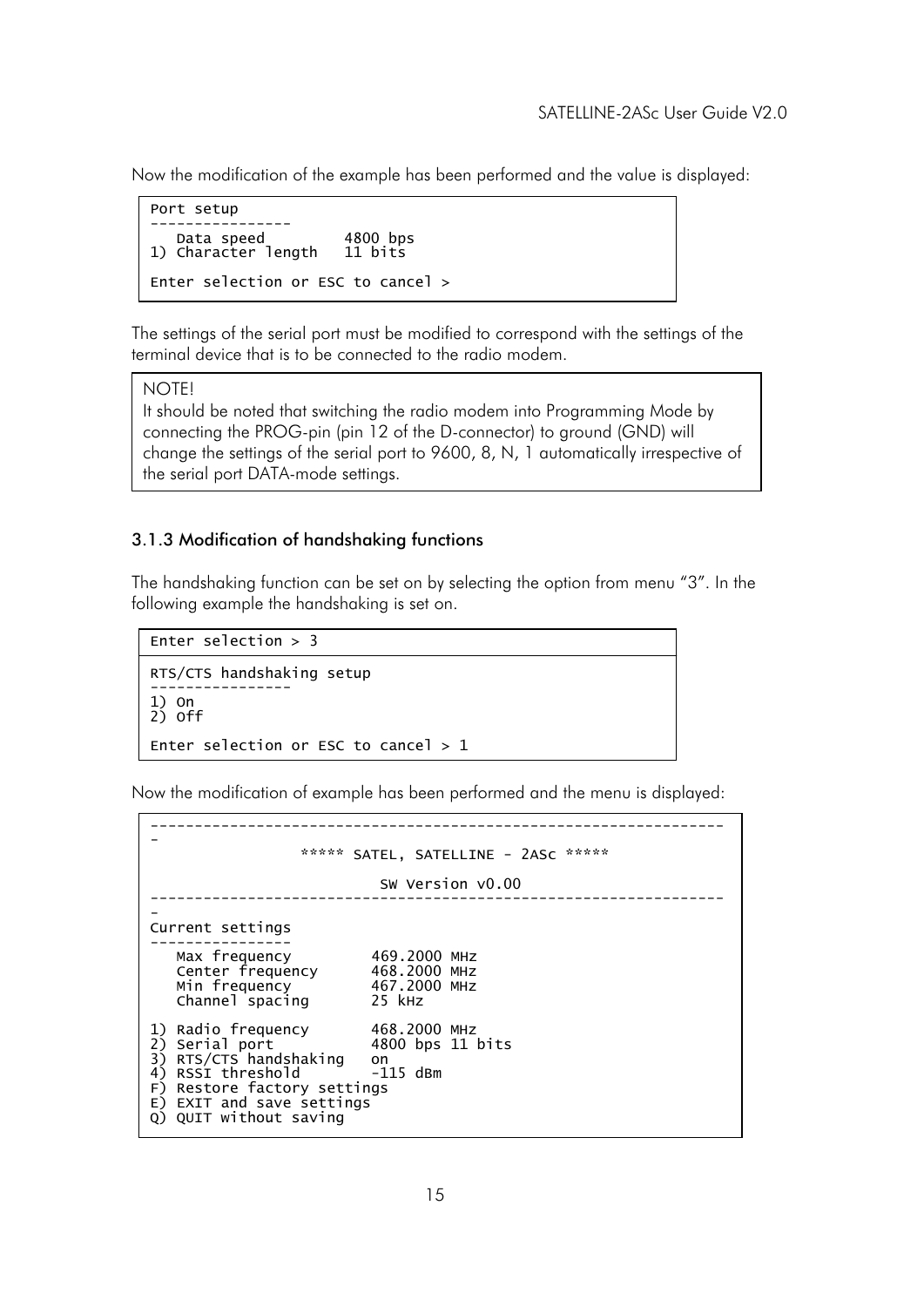Now the modification of the example has been performed and the value is displayed:

```
Port setup 
----------------
   Data speed 4800 bps<br>Character length 11 bits
1) Character length
Enter selection or ESC to cancel >
```
The settings of the serial port must be modified to correspond with the settings of the terminal device that is to be connected to the radio modem.

#### NOTE!

It should be noted that switching the radio modem into Programming Mode by connecting the PROG-pin (pin 12 of the D-connector) to ground (GND) will change the settings of the serial port to 9600, 8, N, 1 automatically irrespective of the serial port DATA-mode settings.

#### 3.1.3 Modification of handshaking functions

The handshaking function can be set on by selecting the option from menu "3". In the following example the handshaking is set on.

```
Enter selection > 3RTS/CTS handshaking setup 
----------------
1) On 
2) Off 
Enter selection or ESC to cancel > 1
```
Now the modification of example has been performed and the menu is displayed:

```
-----------------------------------------------------------------
-
                    ****** SATEL, SATELLINE - 2ASc *****
                               SW Version v0.00 
-----------------------------------------------------------------
-
Current settings 
---------------<br>Max frequency
                           469.2000 MHz<br>468.2000 MHz
   Center frequency 468.2000 MHz<br>Min frequency 467.2000 MHz
   Min frequency 467.20<br>Channel spacing 25 kHz
   Channel spacing
1) Radio frequency 468.2000 MHz<br>2) Serial port 4800 bps 11 bits
2) Serial port 4800 bps 11 bits 
3) RTS/CTS handshaking on 
4) RSSI threshold -115 dBm
F) Restore factory settings 
E) EXIT and save settings 
Q) QUIT without saving
```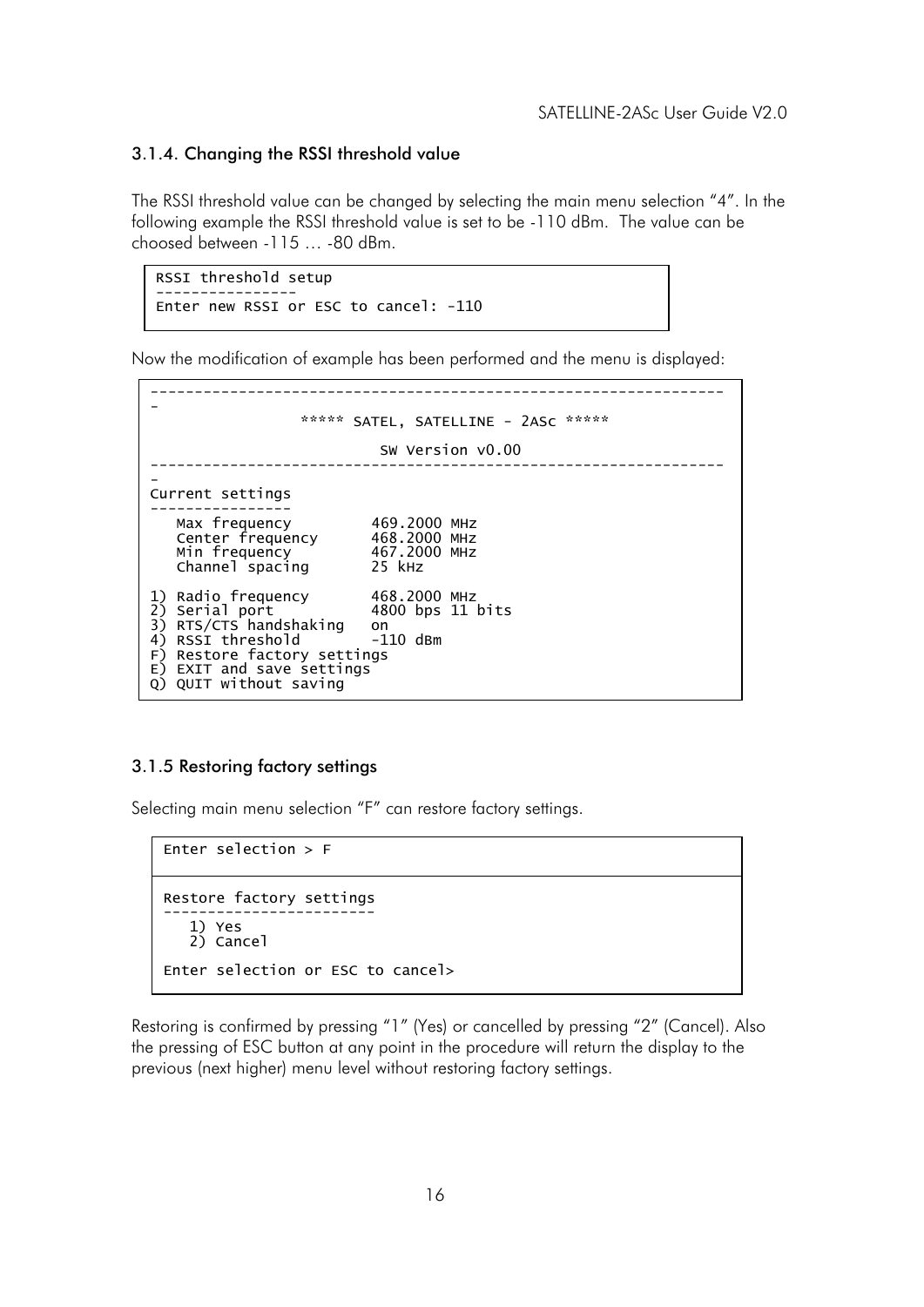#### 3.1.4. Changing the RSSI threshold value

The RSSI threshold value can be changed by selecting the main menu selection "4". In the following example the RSSI threshold value is set to be -110 dBm. The value can be choosed between -115 … -80 dBm.

```
RSSI threshold setup 
----------------
Enter new RSSI or ESC to cancel: -110
```
Now the modification of example has been performed and the menu is displayed:

```
-----------------------------------------------------------------
-
                      ****** SATEL, SATELLINE - 2ASc *****
                                   SW Version v0.00 
                                                       -----------------------------------------------------------------
-
Current settings 
----------------
   Max frequency 469.2000 MHz<br>Center frequency 468.2000 MHz
   Center frequency 468.2000 MHz<br>Min frequency 467.2000 MHz
   Min frequency 467.20<br>Channel spacing 25 kHz
   Channel spacing
1) Radio frequency 468.2000 MHz 
2) Serial port 4800 bps 11 bits 
3) RTS/CTS handshaking on 
4) RSSI threshold -110 dBm
F) Restore factory settings 
E) EXIT and save settings 
Q) QUIT without saving
```
#### 3.1.5 Restoring factory settings

Selecting main menu selection "F" can restore factory settings.

```
Enter selection > F 
Restore factory settings 
------------------------
   1) Yes
   2) Cancel
Enter selection or ESC to cancel>
```
Restoring is confirmed by pressing "1" (Yes) or cancelled by pressing "2" (Cancel). Also the pressing of ESC button at any point in the procedure will return the display to the previous (next higher) menu level without restoring factory settings.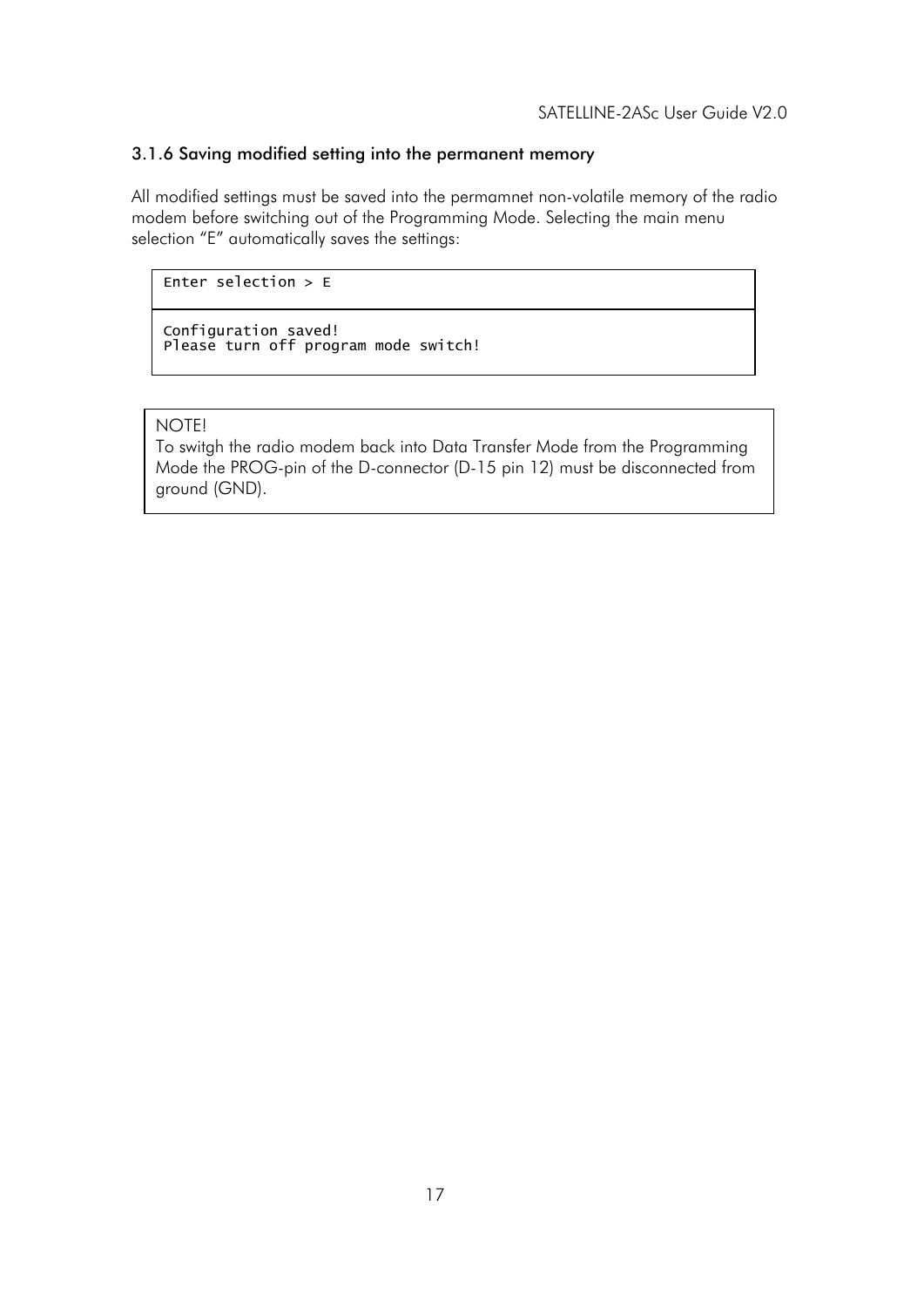# 3.1.6 Saving modified setting into the permanent memory

All modified settings must be saved into the permamnet non-volatile memory of the radio modem before switching out of the Programming Mode. Selecting the main menu selection "E" automatically saves the settings:

Enter selection > E

Configuration saved! Please turn off program mode switch!

## NOTE!

To switgh the radio modem back into Data Transfer Mode from the Programming Mode the PROG-pin of the D-connector (D-15 pin 12) must be disconnected from ground (GND).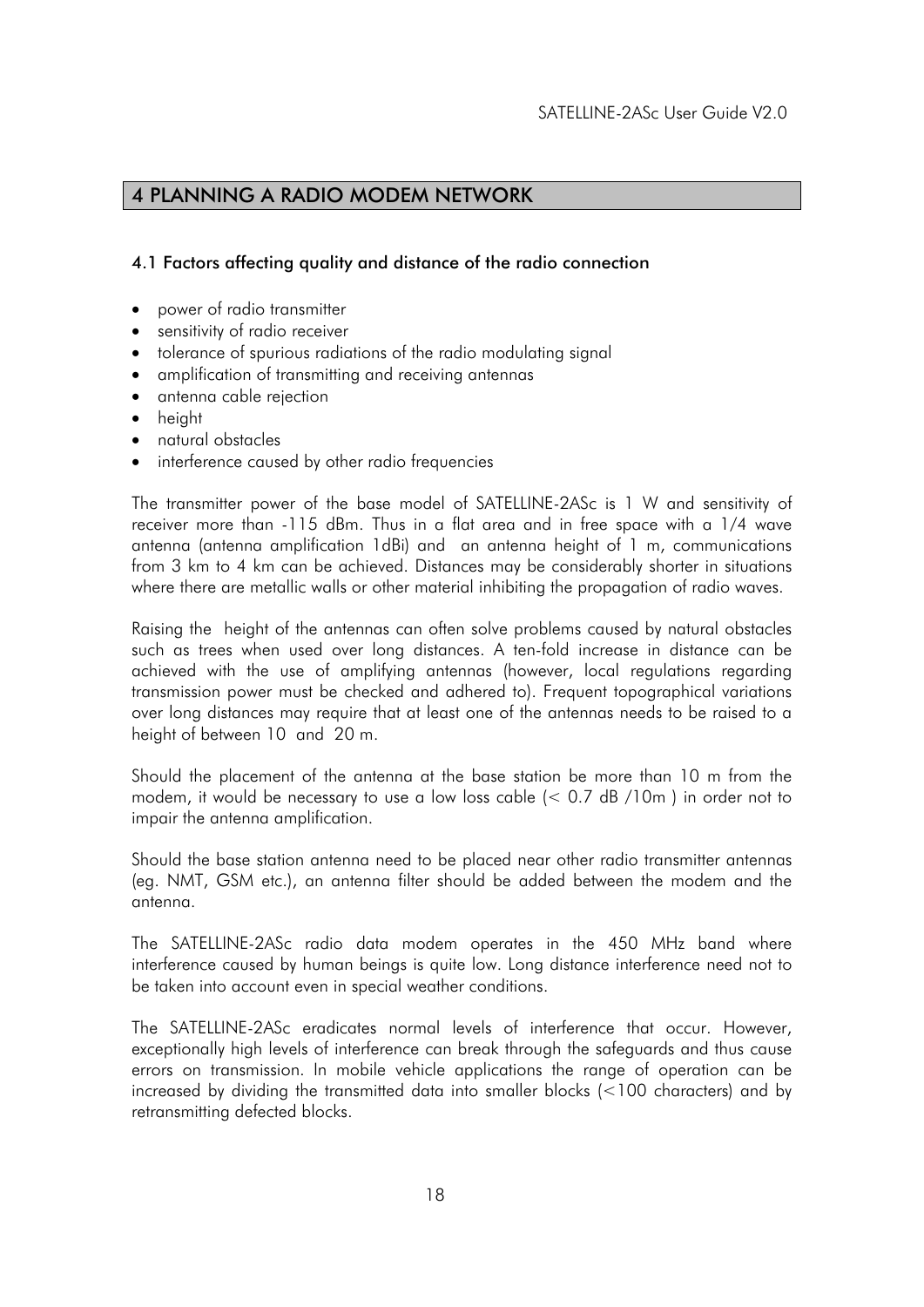# 4 PLANNING A RADIO MODEM NETWORK

#### 4.1 Factors affecting quality and distance of the radio connection

- power of radio transmitter
- sensitivity of radio receiver
- tolerance of spurious radiations of the radio modulating signal
- amplification of transmitting and receiving antennas
- antenna cable rejection
- height
- natural obstacles
- interference caused by other radio frequencies

The transmitter power of the base model of SATELLINE-2ASc is 1 W and sensitivity of receiver more than -115 dBm. Thus in a flat area and in free space with a 1/4 wave antenna (antenna amplification 1dBi) and an antenna height of 1 m, communications from 3 km to 4 km can be achieved. Distances may be considerably shorter in situations where there are metallic walls or other material inhibiting the propagation of radio waves.

Raising the height of the antennas can often solve problems caused by natural obstacles such as trees when used over long distances. A ten-fold increase in distance can be achieved with the use of amplifying antennas (however, local regulations regarding transmission power must be checked and adhered to). Frequent topographical variations over long distances may require that at least one of the antennas needs to be raised to a height of between 10 and 20 m.

Should the placement of the antenna at the base station be more than 10 m from the modem, it would be necessary to use a low loss cable (< 0.7 dB /10m ) in order not to impair the antenna amplification.

Should the base station antenna need to be placed near other radio transmitter antennas (eg. NMT, GSM etc.), an antenna filter should be added between the modem and the antenna.

The SATELLINE-2ASc radio data modem operates in the 450 MHz band where interference caused by human beings is quite low. Long distance interference need not to be taken into account even in special weather conditions.

The SATELLINE-2ASc eradicates normal levels of interference that occur. However, exceptionally high levels of interference can break through the safeguards and thus cause errors on transmission. In mobile vehicle applications the range of operation can be increased by dividing the transmitted data into smaller blocks (<100 characters) and by retransmitting defected blocks.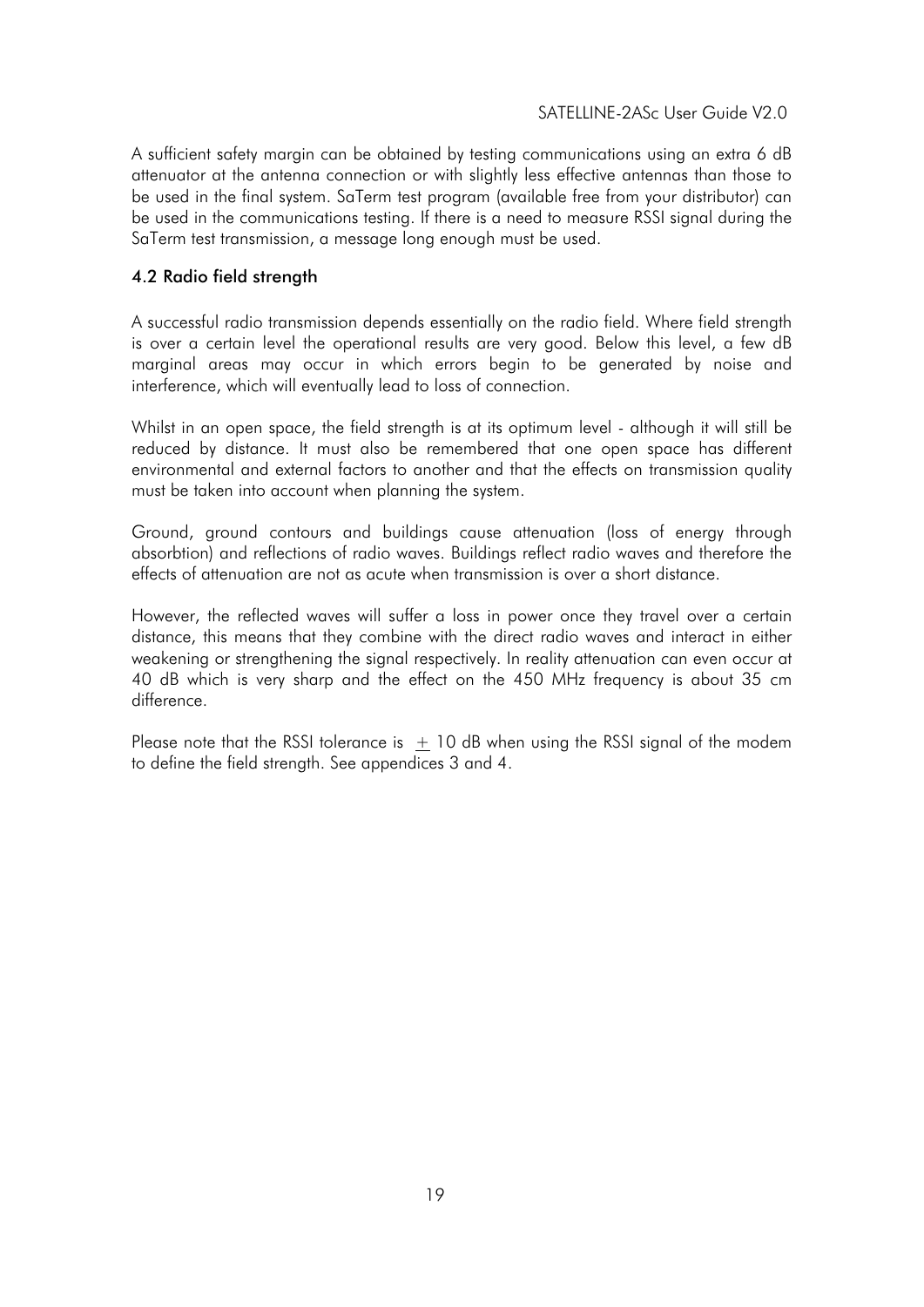#### SATELLINE-2ASc User Guide V2.0

A sufficient safety margin can be obtained by testing communications using an extra 6 dB attenuator at the antenna connection or with slightly less effective antennas than those to be used in the final system. SaTerm test program (available free from your distributor) can be used in the communications testing. If there is a need to measure RSSI signal during the SaTerm test transmission, a message long enough must be used.

#### 4.2 Radio field strength

A successful radio transmission depends essentially on the radio field. Where field strength is over a certain level the operational results are very good. Below this level, a few dB marginal areas may occur in which errors begin to be generated by noise and interference, which will eventually lead to loss of connection.

Whilst in an open space, the field strength is at its optimum level - although it will still be reduced by distance. It must also be remembered that one open space has different environmental and external factors to another and that the effects on transmission quality must be taken into account when planning the system.

Ground, ground contours and buildings cause attenuation (loss of energy through absorbtion) and reflections of radio waves. Buildings reflect radio waves and therefore the effects of attenuation are not as acute when transmission is over a short distance.

However, the reflected waves will suffer a loss in power once they travel over a certain distance, this means that they combine with the direct radio waves and interact in either weakening or strengthening the signal respectively. In reality attenuation can even occur at 40 dB which is very sharp and the effect on the 450 MHz frequency is about 35 cm difference.

Please note that the RSSI tolerance is  $+$  10 dB when using the RSSI signal of the modem to define the field strength. See appendices 3 and 4.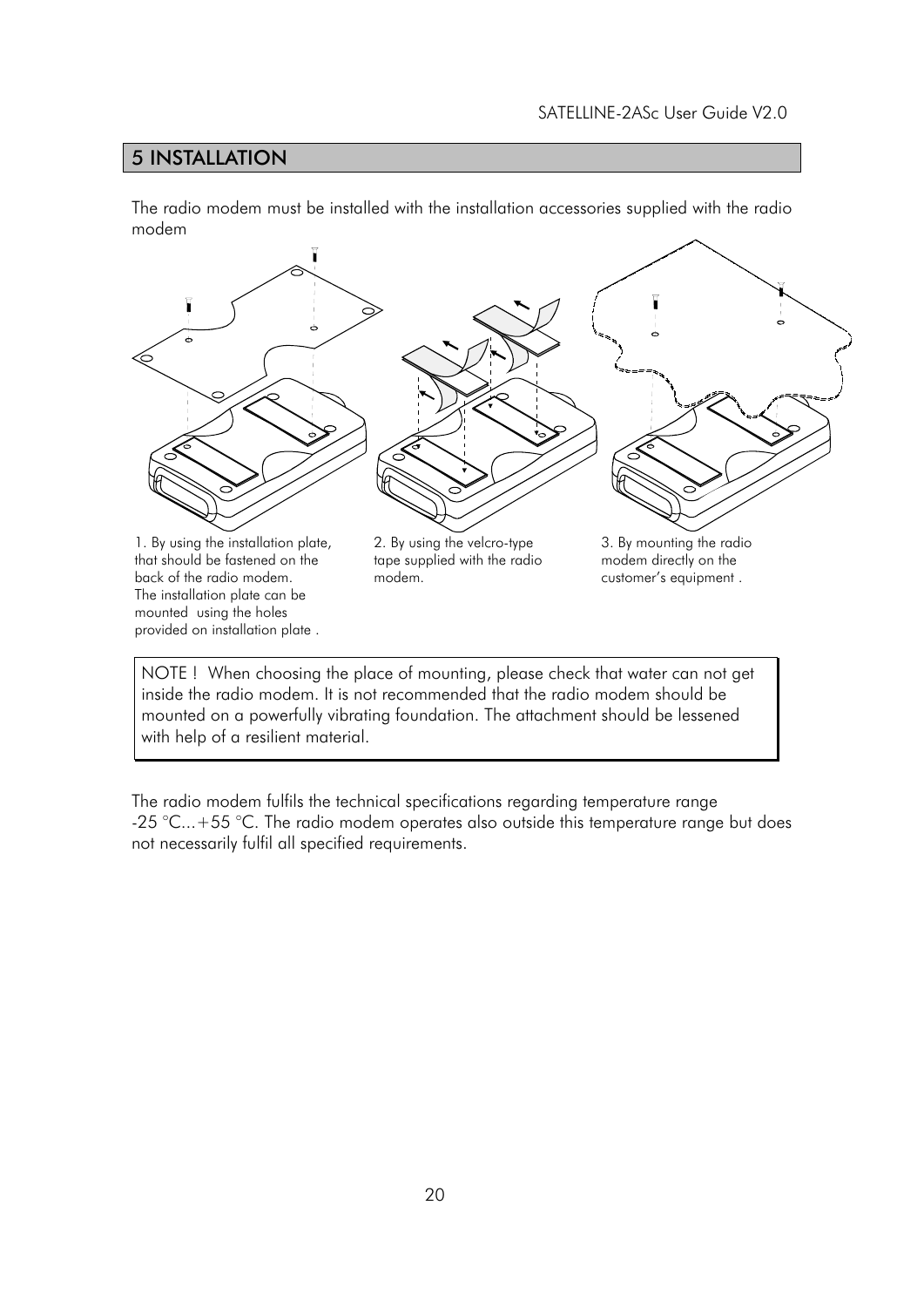# 5 INSTALLATION

The radio modem must be installed with the installation accessories supplied with the radio modem



NOTE ! When choosing the place of mounting, please check that water can not get inside the radio modem. It is not recommended that the radio modem should be mounted on a powerfully vibrating foundation. The attachment should be lessened with help of a resilient material.

The radio modem fulfils the technical specifications regarding temperature range -25 °C... $+55$  °C. The radio modem operates also outside this temperature range but does not necessarily fulfil all specified requirements.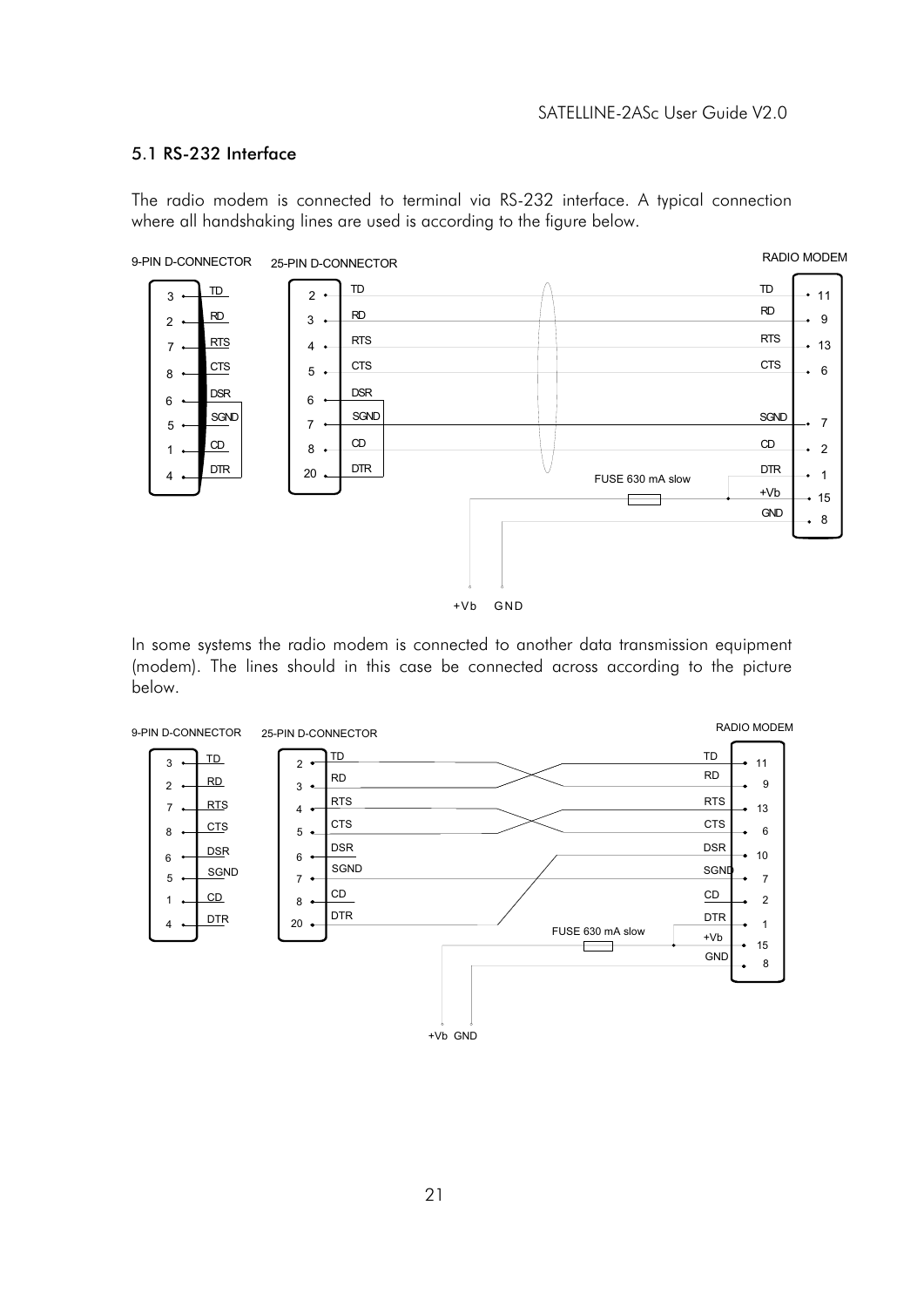#### 5.1 RS-232 Interface

The radio modem is connected to terminal via RS-232 interface. A typical connection where all handshaking lines are used is according to the figure below.



In some systems the radio modem is connected to another data transmission equipment (modem). The lines should in this case be connected across according to the picture below.

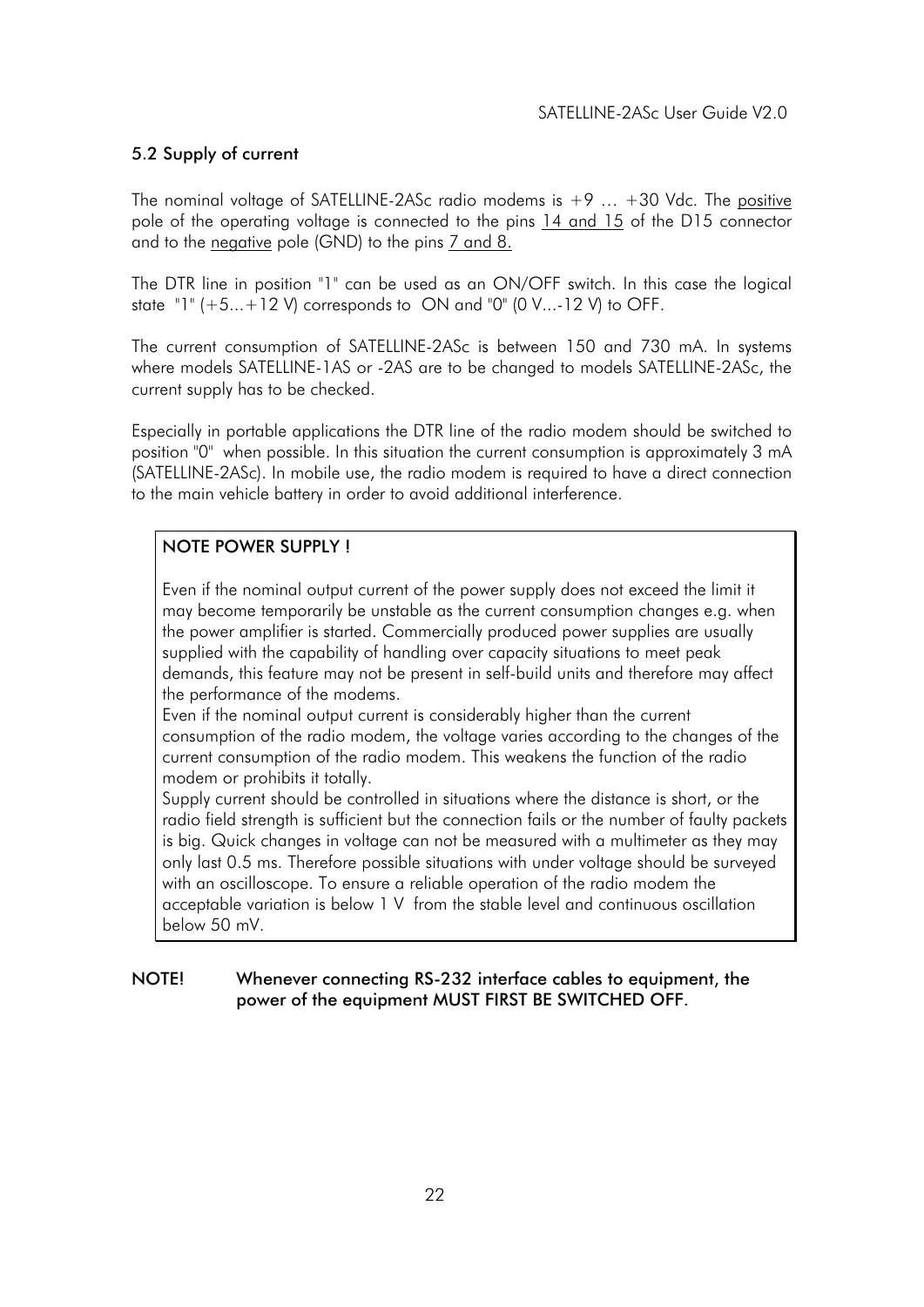## 5.2 Supply of current

The nominal voltage of SATELLINE-2ASc radio modems is  $+9$   $\ldots$   $+30$  Vdc. The positive pole of the operating voltage is connected to the pins 14 and 15 of the D15 connector and to the negative pole (GND) to the pins 7 and 8.

The DTR line in position "1" can be used as an ON/OFF switch. In this case the logical state "1"  $(+5...+12 \text{ V})$  corresponds to ON and "0"  $(0 \text{ V}...12 \text{ V})$  to OFF.

The current consumption of SATELLINE-2ASc is between 150 and 730 mA. In systems where models SATELLINE-1AS or -2AS are to be changed to models SATELLINE-2ASc, the current supply has to be checked.

Especially in portable applications the DTR line of the radio modem should be switched to position "0" when possible. In this situation the current consumption is approximately 3 mA (SATELLINE-2ASc). In mobile use, the radio modem is required to have a direct connection to the main vehicle battery in order to avoid additional interference.

# NOTE POWER SUPPLY I

Even if the nominal output current of the power supply does not exceed the limit it may become temporarily be unstable as the current consumption changes e.g. when the power amplifier is started. Commercially produced power supplies are usually supplied with the capability of handling over capacity situations to meet peak demands, this feature may not be present in self-build units and therefore may affect the performance of the modems.

Even if the nominal output current is considerably higher than the current consumption of the radio modem, the voltage varies according to the changes of the current consumption of the radio modem. This weakens the function of the radio modem or prohibits it totally.

Supply current should be controlled in situations where the distance is short, or the radio field strength is sufficient but the connection fails or the number of faulty packets is big. Quick changes in voltage can not be measured with a multimeter as they may only last 0.5 ms. Therefore possible situations with under voltage should be surveyed with an oscilloscope. To ensure a reliable operation of the radio modem the acceptable variation is below 1 V from the stable level and continuous oscillation below 50 mV.

#### NOTE! Whenever connecting RS-232 interface cables to equipment, the power of the equipment MUST FIRST BE SWITCHED OFF.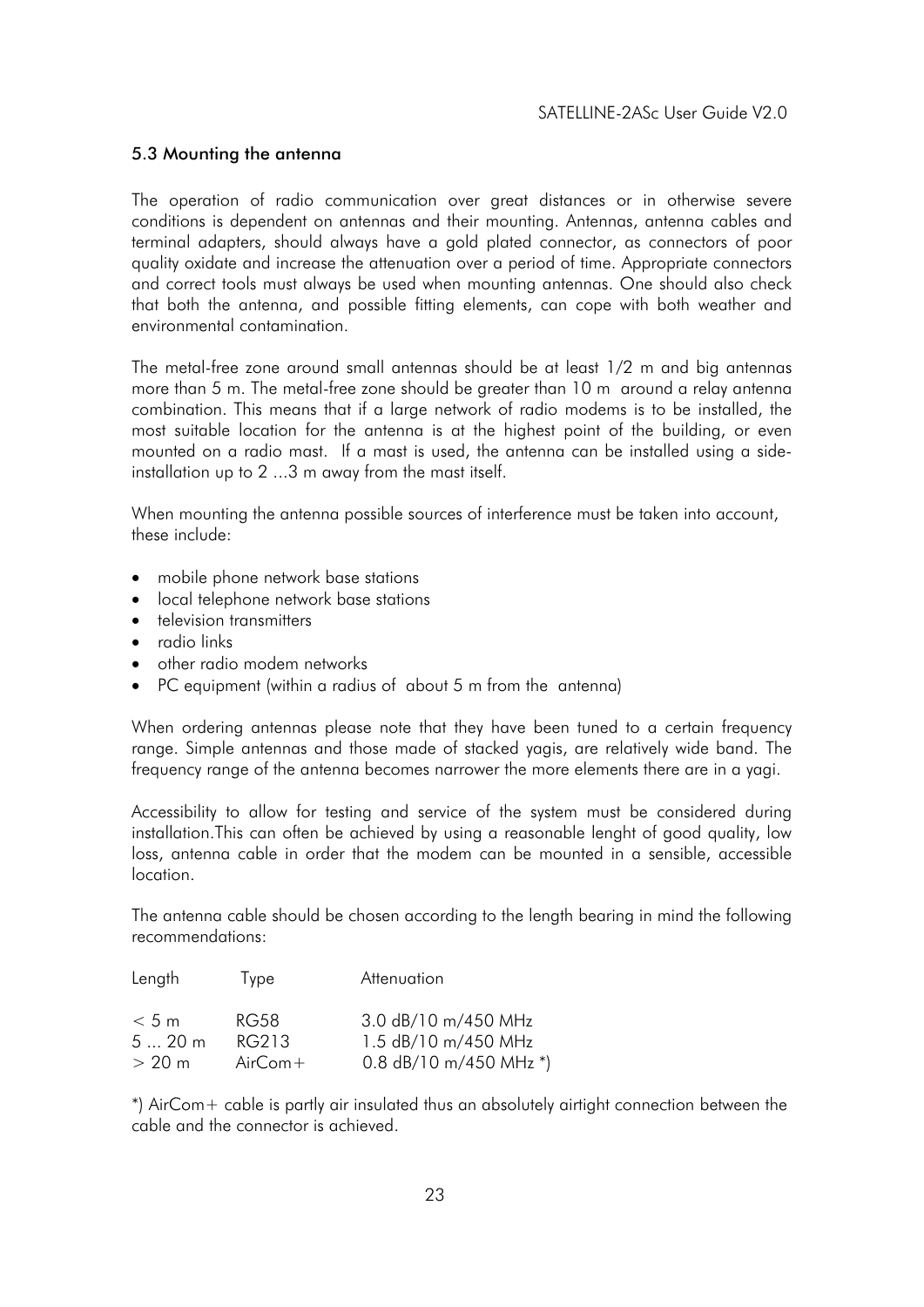#### 5.3 Mounting the antenna

The operation of radio communication over great distances or in otherwise severe conditions is dependent on antennas and their mounting. Antennas, antenna cables and terminal adapters, should always have a gold plated connector, as connectors of poor quality oxidate and increase the attenuation over a period of time. Appropriate connectors and correct tools must always be used when mounting antennas. One should also check that both the antenna, and possible fitting elements, can cope with both weather and environmental contamination.

The metal-free zone around small antennas should be at least 1/2 m and big antennas more than 5 m. The metal-free zone should be greater than 10 m around a relay antenna combination. This means that if a large network of radio modems is to be installed, the most suitable location for the antenna is at the highest point of the building, or even mounted on a radio mast. If a mast is used, the antenna can be installed using a sideinstallation up to 2 ...3 m away from the mast itself.

When mounting the antenna possible sources of interference must be taken into account, these include:

- mobile phone network base stations
- local telephone network base stations
- television transmitters
- $\bullet$  radio links
- x other radio modem networks
- PC equipment (within a radius of about 5 m from the antenna)

When ordering antennas please note that they have been tuned to a certain frequency range. Simple antennas and those made of stacked yagis, are relatively wide band. The frequency range of the antenna becomes narrower the more elements there are in a yagi.

Accessibility to allow for testing and service of the system must be considered during installation.This can often be achieved by using a reasonable lenght of good quality, low loss, antenna cable in order that the modem can be mounted in a sensible, accessible location.

The antenna cable should be chosen according to the length bearing in mind the following recommendations:

| Length          | Type          | Attenuation                                |
|-----------------|---------------|--------------------------------------------|
| < 5m<br>$520$ m | RG58<br>RG213 | 3.0 dB/10 m/450 MHz<br>1.5 dB/10 m/450 MHz |
| > 20 m          | $AirCom+$     | 0.8 $dB/10$ m/450 MHz *)                   |

\*) AirCom+ cable is partly air insulated thus an absolutely airtight connection between the cable and the connector is achieved.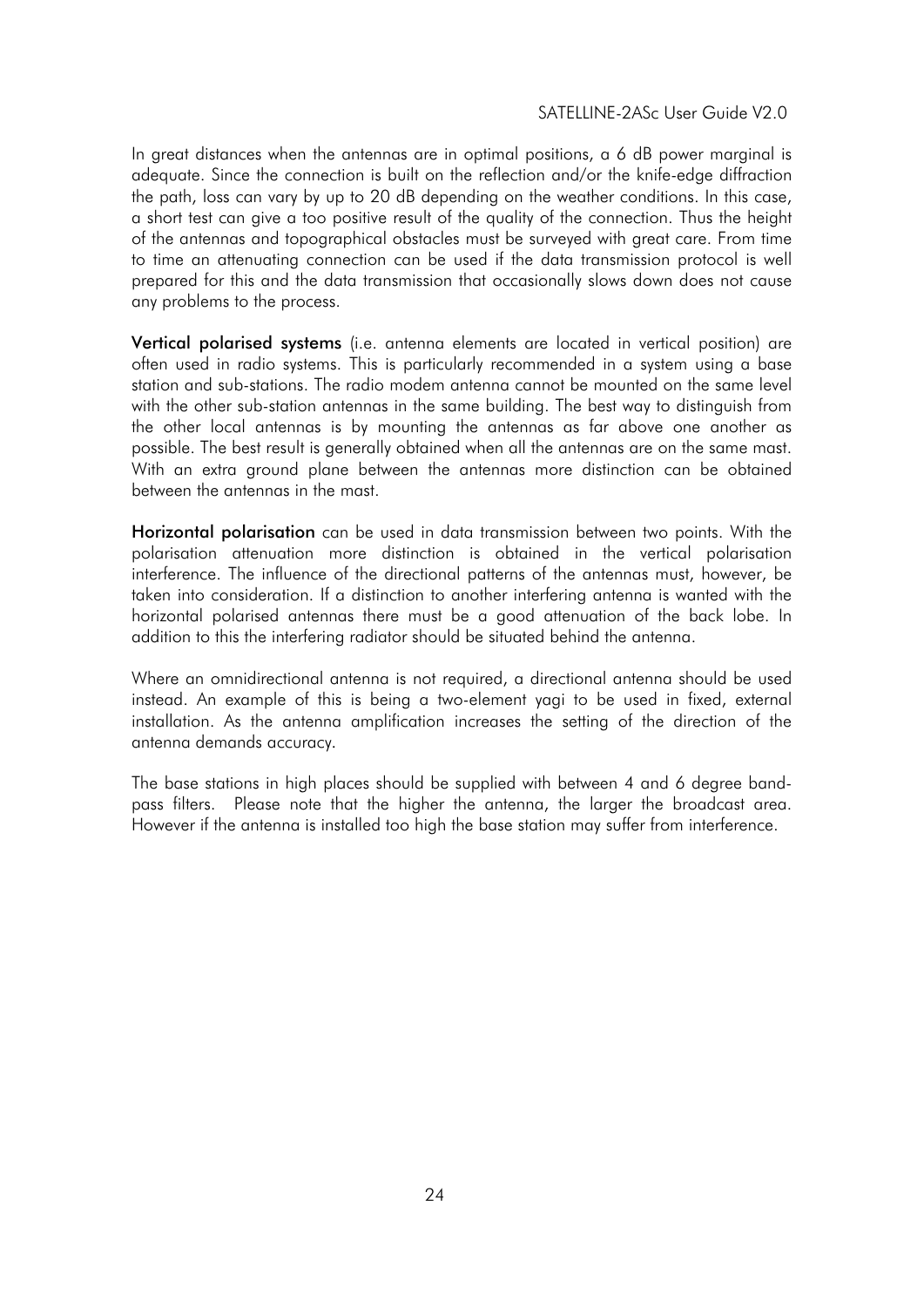#### SATELLINE-2ASc User Guide V2.0

In great distances when the antennas are in optimal positions, a 6 dB power marginal is adequate. Since the connection is built on the reflection and/or the knife-edge diffraction the path, loss can vary by up to 20 dB depending on the weather conditions. In this case, a short test can give a too positive result of the quality of the connection. Thus the height of the antennas and topographical obstacles must be surveyed with great care. From time to time an attenuating connection can be used if the data transmission protocol is well prepared for this and the data transmission that occasionally slows down does not cause any problems to the process.

Vertical polarised systems (i.e. antenna elements are located in vertical position) are often used in radio systems. This is particularly recommended in a system using a base station and sub-stations. The radio modem antenna cannot be mounted on the same level with the other sub-station antennas in the same building. The best way to distinguish from the other local antennas is by mounting the antennas as far above one another as possible. The best result is generally obtained when all the antennas are on the same mast. With an extra ground plane between the antennas more distinction can be obtained between the antennas in the mast.

Horizontal polarisation can be used in data transmission between two points. With the polarisation attenuation more distinction is obtained in the vertical polarisation interference. The influence of the directional patterns of the antennas must, however, be taken into consideration. If a distinction to another interfering antenna is wanted with the horizontal polarised antennas there must be a good attenuation of the back lobe. In addition to this the interfering radiator should be situated behind the antenna.

Where an omnidirectional antenna is not required, a directional antenna should be used instead. An example of this is being a two-element yagi to be used in fixed, external installation. As the antenna amplification increases the setting of the direction of the antenna demands accuracy.

The base stations in high places should be supplied with between 4 and 6 degree bandpass filters. Please note that the higher the antenna, the larger the broadcast area. However if the antenna is installed too high the base station may suffer from interference.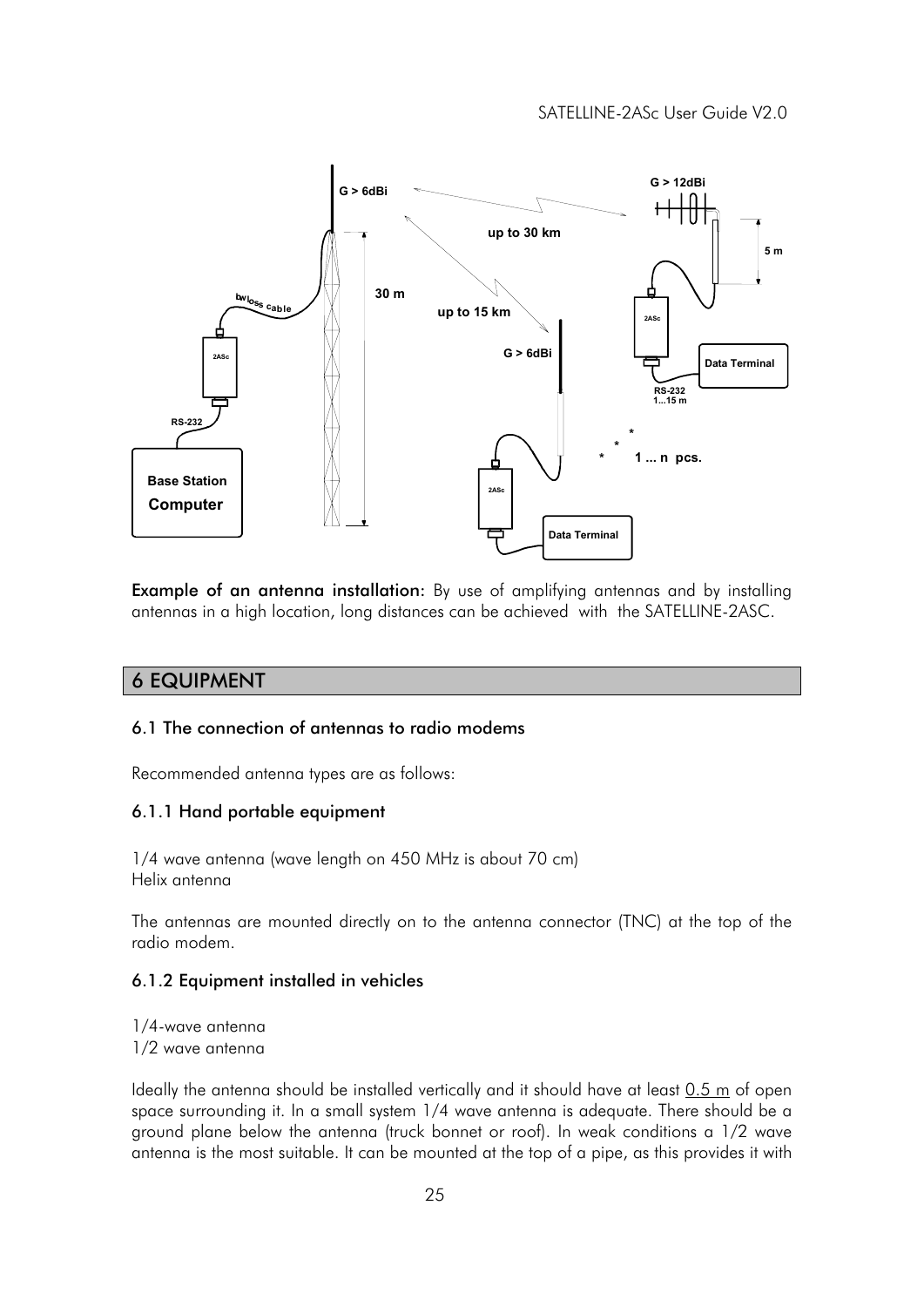

Example of an antenna installation: By use of amplifying antennas and by installing antennas in a high location, long distances can be achieved with the SATELLINE-2ASC.

#### 6 EQUIPMENT

#### 6.1 The connection of antennas to radio modems

Recommended antenna types are as follows:

#### 6.1.1 Hand portable equipment

1/4 wave antenna (wave length on 450 MHz is about 70 cm) Helix antenna

The antennas are mounted directly on to the antenna connector (TNC) at the top of the radio modem.

#### 6.1.2 Equipment installed in vehicles

1/4-wave antenna 1/2 wave antenna

Ideally the antenna should be installed vertically and it should have at least 0.5 m of open space surrounding it. In a small system 1/4 wave antenna is adequate. There should be a ground plane below the antenna (truck bonnet or roof). In weak conditions a 1/2 wave antenna is the most suitable. It can be mounted at the top of a pipe, as this provides it with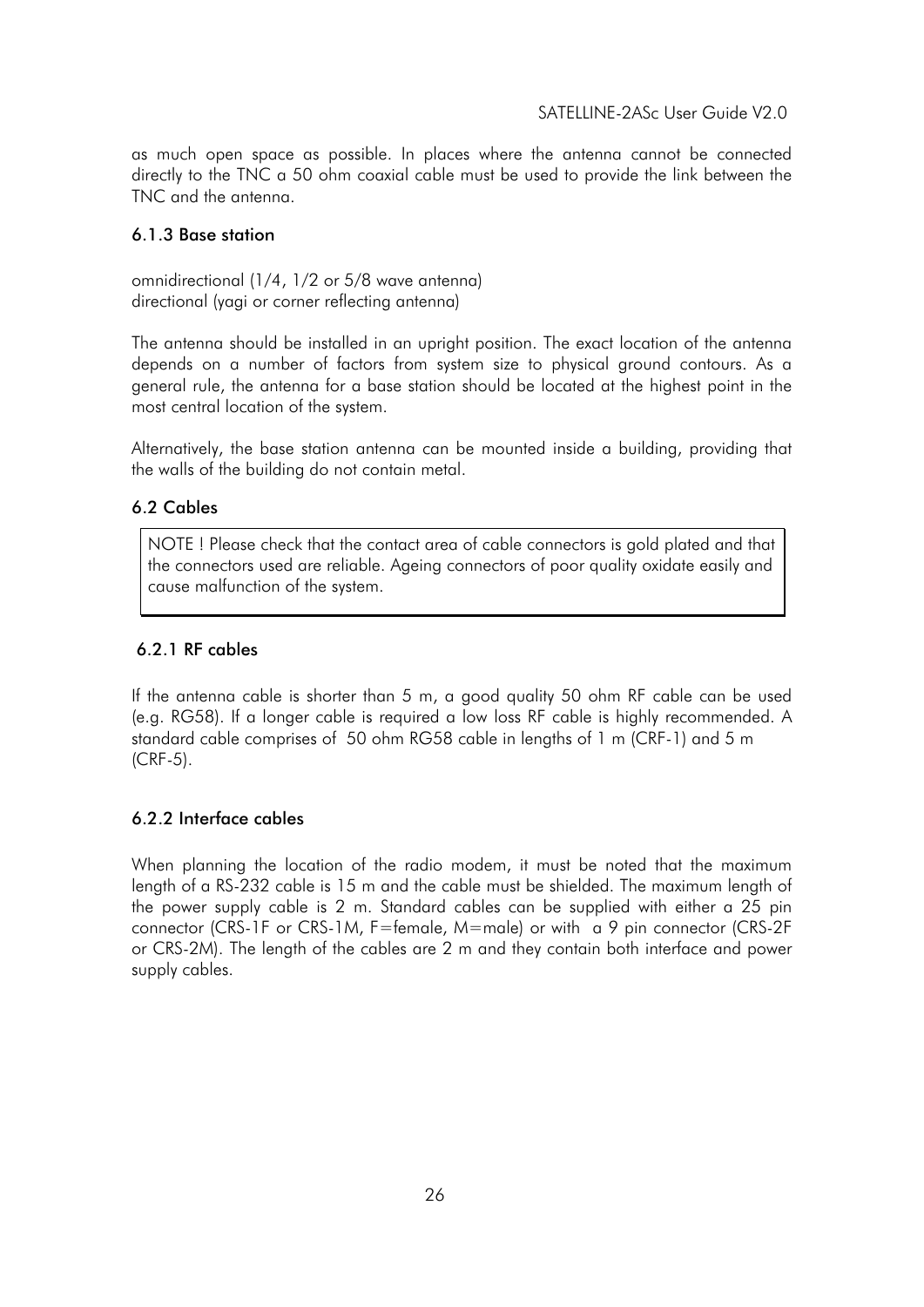as much open space as possible. In places where the antenna cannot be connected directly to the TNC a 50 ohm coaxial cable must be used to provide the link between the TNC and the antenna.

#### 6.1.3 Base station

omnidirectional (1/4, 1/2 or 5/8 wave antenna) directional (yagi or corner reflecting antenna)

The antenna should be installed in an upright position. The exact location of the antenna depends on a number of factors from system size to physical ground contours. As a general rule, the antenna for a base station should be located at the highest point in the most central location of the system.

Alternatively, the base station antenna can be mounted inside a building, providing that the walls of the building do not contain metal.

#### 6.2 Cables

NOTE ! Please check that the contact area of cable connectors is gold plated and that the connectors used are reliable. Ageing connectors of poor quality oxidate easily and cause malfunction of the system.

## 6.2.1 RF cables

If the antenna cable is shorter than 5 m, a good quality 50 ohm RF cable can be used (e.g. RG58). If a longer cable is required a low loss RF cable is highly recommended. A standard cable comprises of 50 ohm RG58 cable in lengths of 1 m (CRF-1) and 5 m (CRF-5).

#### 6.2.2 Interface cables

When planning the location of the radio modem, it must be noted that the maximum length of a RS-232 cable is 15 m and the cable must be shielded. The maximum length of the power supply cable is 2 m. Standard cables can be supplied with either a 25 pin connector (CRS-1F or CRS-1M, F=female, M=male) or with a 9 pin connector (CRS-2F or CRS-2M). The length of the cables are 2 m and they contain both interface and power supply cables.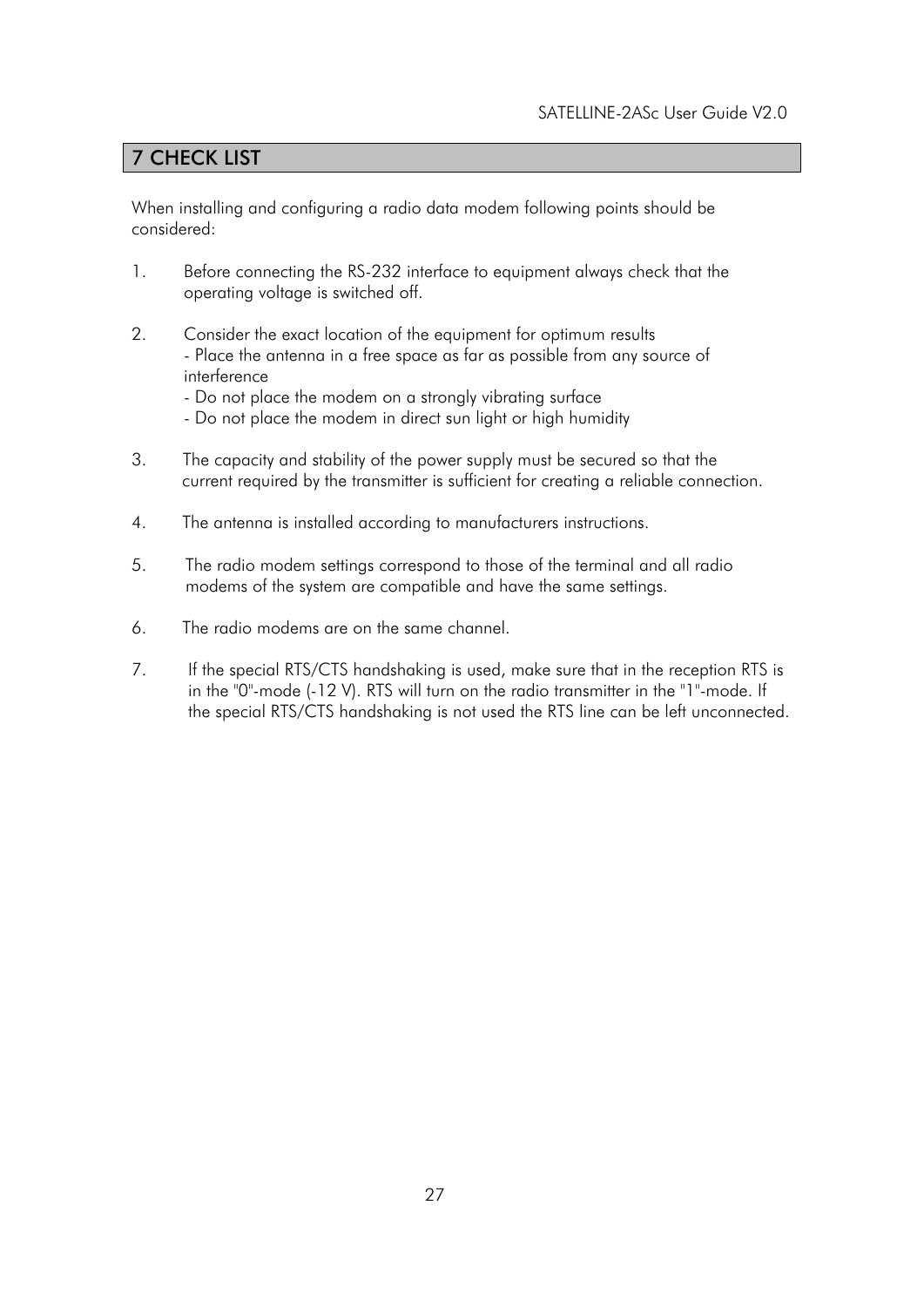# 7 CHECK LIST

When installing and configuring a radio data modem following points should be considered:

- 1. Before connecting the RS-232 interface to equipment always check that the operating voltage is switched off.
- 2. Consider the exact location of the equipment for optimum results - Place the antenna in a free space as far as possible from any source of interference
	- Do not place the modem on a strongly vibrating surface
	- Do not place the modem in direct sun light or high humidity
- 3. The capacity and stability of the power supply must be secured so that the current required by the transmitter is sufficient for creating a reliable connection.
- 4. The antenna is installed according to manufacturers instructions.
- 5. The radio modem settings correspond to those of the terminal and all radio modems of the system are compatible and have the same settings.
- 6. The radio modems are on the same channel.
- 7. If the special RTS/CTS handshaking is used, make sure that in the reception RTS is in the "0"-mode (-12 V). RTS will turn on the radio transmitter in the "1"-mode. If the special RTS/CTS handshaking is not used the RTS line can be left unconnected.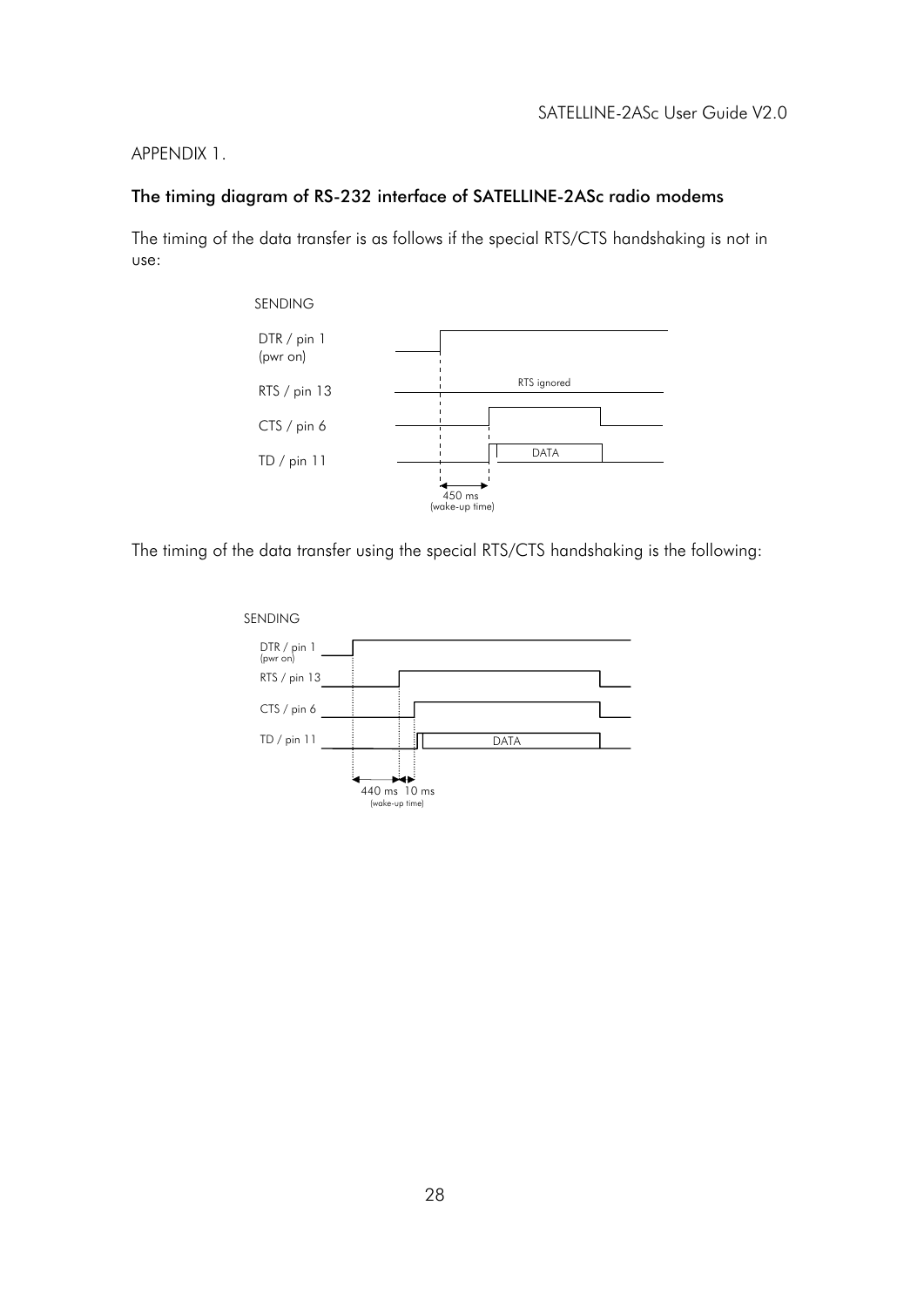#### APPENDIX 1.

#### The timing diagram of RS-232 interface of SATELLINE-2ASc radio modems

The timing of the data transfer is as follows if the special RTS/CTS handshaking is not in use:



The timing of the data transfer using the special RTS/CTS handshaking is the following: